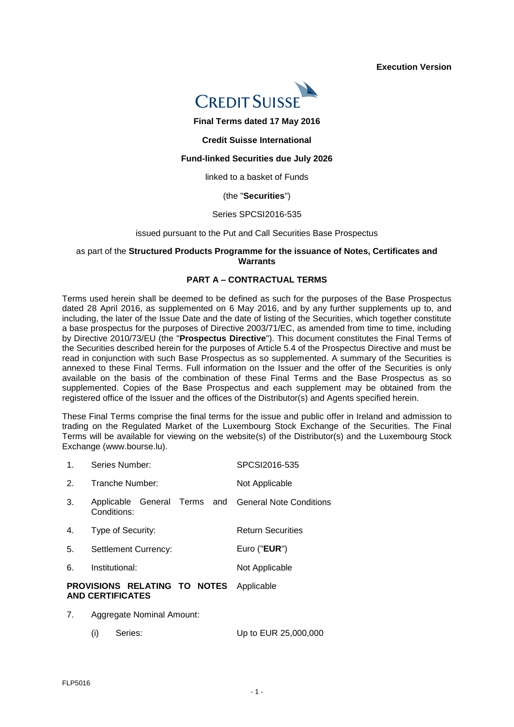**Execution Version** 



**Final Terms dated 17 May 2016**

#### **Credit Suisse International**

## **Fund-linked Securities due July 2026**

linked to a basket of Funds

#### (the "**Securities**")

### Series SPCSI2016-535

#### issued pursuant to the Put and Call Securities Base Prospectus

#### as part of the **Structured Products Programme for the issuance of Notes, Certificates and Warrants**

## **PART A – CONTRACTUAL TERMS**

Terms used herein shall be deemed to be defined as such for the purposes of the Base Prospectus dated 28 April 2016, as supplemented on 6 May 2016, and by any further supplements up to, and including, the later of the Issue Date and the date of listing of the Securities, which together constitute a base prospectus for the purposes of Directive 2003/71/EC, as amended from time to time, including by Directive 2010/73/EU (the "**Prospectus Directive**"). This document constitutes the Final Terms of the Securities described herein for the purposes of Article 5.4 of the Prospectus Directive and must be read in conjunction with such Base Prospectus as so supplemented. A summary of the Securities is annexed to these Final Terms. Full information on the Issuer and the offer of the Securities is only available on the basis of the combination of these Final Terms and the Base Prospectus as so supplemented. Copies of the Base Prospectus and each supplement may be obtained from the registered office of the Issuer and the offices of the Distributor(s) and Agents specified herein.

These Final Terms comprise the final terms for the issue and public offer in Ireland and admission to trading on the Regulated Market of the Luxembourg Stock Exchange of the Securities. The Final Terms will be available for viewing on the website(s) of the Distributor(s) and the Luxembourg Stock Exchange (www.bourse.lu).

|                | PROVISIONS RELATING TO NOTES<br><b>AND CERTIFICATES</b>             | Applicable               |
|----------------|---------------------------------------------------------------------|--------------------------|
| 6.             | Institutional:                                                      | Not Applicable           |
| 5.             | <b>Settlement Currency:</b>                                         | Euro (" <b>EUR</b> ")    |
| 4.             | Type of Security:                                                   | <b>Return Securities</b> |
| 3.             | Applicable General Terms and General Note Conditions<br>Conditions: |                          |
| 2.             | Tranche Number:                                                     | Not Applicable           |
| $\mathbf{1}$ . | Series Number:                                                      | SPCSI2016-535            |

- 7. Aggregate Nominal Amount:
	- (i) Series: Up to EUR 25,000,000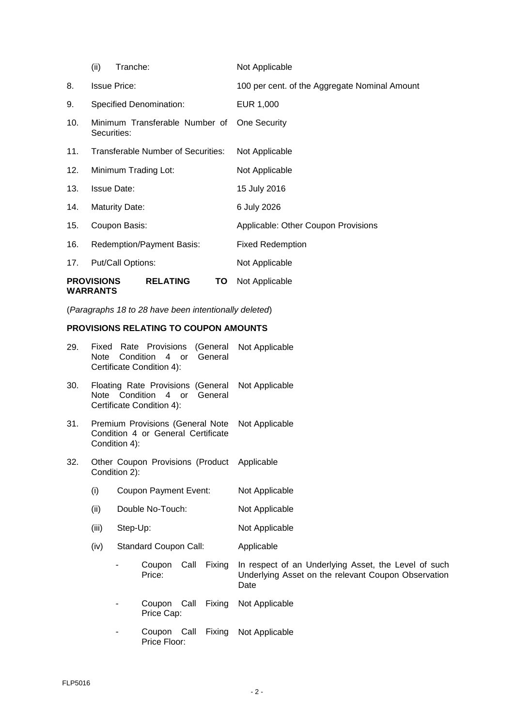|     | <b>PROVISIONS</b><br><b>WARRANTS</b>          |                       | <b>RELATING</b>                    | ТО | Not Applicable                                |  |
|-----|-----------------------------------------------|-----------------------|------------------------------------|----|-----------------------------------------------|--|
| 17. |                                               | Put/Call Options:     |                                    |    | Not Applicable                                |  |
| 16. | <b>Redemption/Payment Basis:</b>              |                       |                                    |    | <b>Fixed Redemption</b>                       |  |
| 15. | Coupon Basis:                                 |                       |                                    |    | Applicable: Other Coupon Provisions           |  |
| 14. |                                               | <b>Maturity Date:</b> |                                    |    | 6 July 2026                                   |  |
| 13. |                                               | <b>Issue Date:</b>    |                                    |    | 15 July 2016                                  |  |
| 12. |                                               |                       | Minimum Trading Lot:               |    | Not Applicable                                |  |
| 11. |                                               |                       | Transferable Number of Securities: |    | Not Applicable                                |  |
| 10. | Minimum Transferable Number of<br>Securities: |                       |                                    |    | One Security                                  |  |
| 9.  |                                               |                       | Specified Denomination:            |    | EUR 1,000                                     |  |
| 8.  |                                               | <b>Issue Price:</b>   |                                    |    | 100 per cent. of the Aggregate Nominal Amount |  |
|     | (ii)                                          | Tranche:              |                                    |    | Not Applicable                                |  |

(*Paragraphs 18 to 28 have been intentionally deleted*)

# **PROVISIONS RELATING TO COUPON AMOUNTS**

| 29. | Fixed<br>Note                                                                                    | Condition        | Rate Provisions<br>$\overline{4}$<br>Certificate Condition 4): | or   | (General<br>General | Not Applicable                                                                                                      |
|-----|--------------------------------------------------------------------------------------------------|------------------|----------------------------------------------------------------|------|---------------------|---------------------------------------------------------------------------------------------------------------------|
| 30. | Floating Rate Provisions (General<br>Note Condition 4 or<br>General<br>Certificate Condition 4): |                  |                                                                |      |                     | Not Applicable                                                                                                      |
| 31. | Premium Provisions (General Note<br>Condition 4 or General Certificate<br>Condition 4):          |                  |                                                                |      |                     | Not Applicable                                                                                                      |
| 32. | Other Coupon Provisions (Product Applicable<br>Condition 2):                                     |                  |                                                                |      |                     |                                                                                                                     |
|     | (i)                                                                                              |                  | Coupon Payment Event:                                          |      |                     | Not Applicable                                                                                                      |
|     | (ii)                                                                                             | Double No-Touch: |                                                                |      |                     | Not Applicable                                                                                                      |
|     | (iii)                                                                                            | Step-Up:         |                                                                |      |                     | Not Applicable                                                                                                      |
|     | (iv)                                                                                             |                  | <b>Standard Coupon Call:</b>                                   |      |                     | Applicable                                                                                                          |
|     |                                                                                                  |                  | Coupon<br>Price:                                               | Call | Fixing              | In respect of an Underlying Asset, the Level of such<br>Underlying Asset on the relevant Coupon Observation<br>Date |
|     |                                                                                                  |                  | Coupon Call<br>Price Cap:                                      |      | Fixing              | Not Applicable                                                                                                      |
|     |                                                                                                  |                  | Coupon Call<br>Price Floor:                                    |      | Fixing              | Not Applicable                                                                                                      |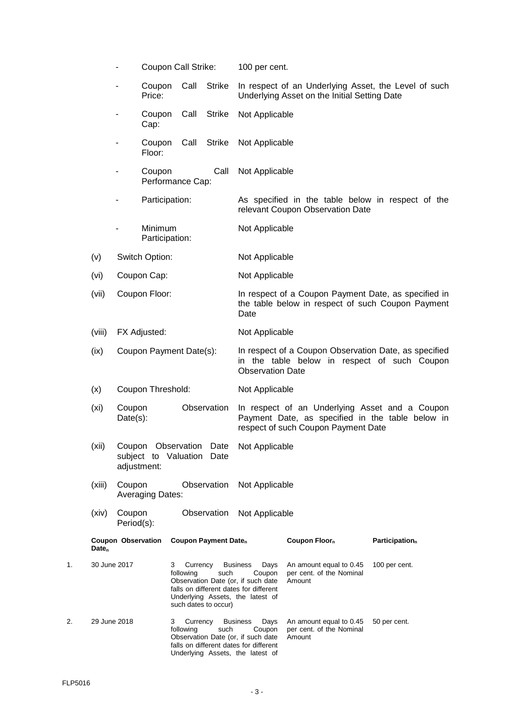|    |                   |                           | Coupon Call Strike:                                                 |                            |                                         | 100 per cent.                                                                                                                                         |                                                                                                                                           |                            |
|----|-------------------|---------------------------|---------------------------------------------------------------------|----------------------------|-----------------------------------------|-------------------------------------------------------------------------------------------------------------------------------------------------------|-------------------------------------------------------------------------------------------------------------------------------------------|----------------------------|
|    |                   |                           | Coupon<br>Price:                                                    | Call                       | <b>Strike</b>                           |                                                                                                                                                       | In respect of an Underlying Asset, the Level of such<br>Underlying Asset on the Initial Setting Date                                      |                            |
|    |                   |                           | Coupon<br>Cap:                                                      | Call                       | <b>Strike</b>                           | Not Applicable                                                                                                                                        |                                                                                                                                           |                            |
|    |                   |                           | Coupon<br>Floor:                                                    | Call                       | <b>Strike</b>                           | Not Applicable                                                                                                                                        |                                                                                                                                           |                            |
|    |                   |                           | Coupon<br>Performance Cap:                                          |                            | Call                                    | Not Applicable                                                                                                                                        |                                                                                                                                           |                            |
|    |                   |                           | Participation:                                                      |                            |                                         |                                                                                                                                                       | As specified in the table below in respect of the<br>relevant Coupon Observation Date                                                     |                            |
|    |                   |                           | Minimum<br>Participation:                                           |                            |                                         | Not Applicable                                                                                                                                        |                                                                                                                                           |                            |
|    | (v)               |                           | Switch Option:                                                      |                            |                                         | Not Applicable                                                                                                                                        |                                                                                                                                           |                            |
|    | (vi)              |                           | Coupon Cap:                                                         |                            |                                         | Not Applicable                                                                                                                                        |                                                                                                                                           |                            |
|    | (vii)             |                           | Coupon Floor:                                                       |                            |                                         | Date                                                                                                                                                  | In respect of a Coupon Payment Date, as specified in<br>the table below in respect of such Coupon Payment                                 |                            |
|    | (viii)            |                           | FX Adjusted:                                                        |                            |                                         | Not Applicable                                                                                                                                        |                                                                                                                                           |                            |
|    | (ix)              |                           | Coupon Payment Date(s):                                             |                            |                                         | <b>Observation Date</b>                                                                                                                               | In respect of a Coupon Observation Date, as specified<br>in the table below in respect of such Coupon                                     |                            |
|    | (x)               |                           | Coupon Threshold:                                                   |                            |                                         | Not Applicable                                                                                                                                        |                                                                                                                                           |                            |
|    | (x <sub>i</sub> ) | Coupon<br>Date(s):        |                                                                     |                            | Observation                             |                                                                                                                                                       | In respect of an Underlying Asset and a Coupon<br>Payment Date, as specified in the table below in<br>respect of such Coupon Payment Date |                            |
|    | (xii)             |                           | Coupon Observation Date<br>subject to Valuation Date<br>adjustment: |                            |                                         | Not Applicable                                                                                                                                        |                                                                                                                                           |                            |
|    | (xiii)            | Coupon                    | <b>Averaging Dates:</b>                                             |                            | Observation                             | Not Applicable                                                                                                                                        |                                                                                                                                           |                            |
|    | (xiv)             | Coupon<br>Period(s):      |                                                                     |                            | Observation                             | Not Applicable                                                                                                                                        |                                                                                                                                           |                            |
|    | Date <sub>n</sub> | <b>Coupon Observation</b> |                                                                     |                            | <b>Coupon Payment Date</b> <sub>n</sub> |                                                                                                                                                       | Coupon Floor <sub>n</sub>                                                                                                                 | Participation <sub>n</sub> |
| 1. | 30 June 2017      |                           |                                                                     | 3<br>Currency<br>following | such<br>such dates to occur)            | <b>Business</b><br>Days<br>Coupon<br>Observation Date (or, if such date<br>falls on different dates for different<br>Underlying Assets, the latest of | An amount equal to 0.45<br>per cent. of the Nominal<br>Amount                                                                             | 100 per cent.              |
| 2. | 29 June 2018      |                           |                                                                     | Currency<br>3<br>following | such                                    | <b>Business</b><br>Days<br>Coupon<br>Observation Date (or, if such date<br>falls on different dates for different<br>Underlying Assets, the latest of | An amount equal to 0.45<br>per cent. of the Nominal<br>Amount                                                                             | 50 per cent.               |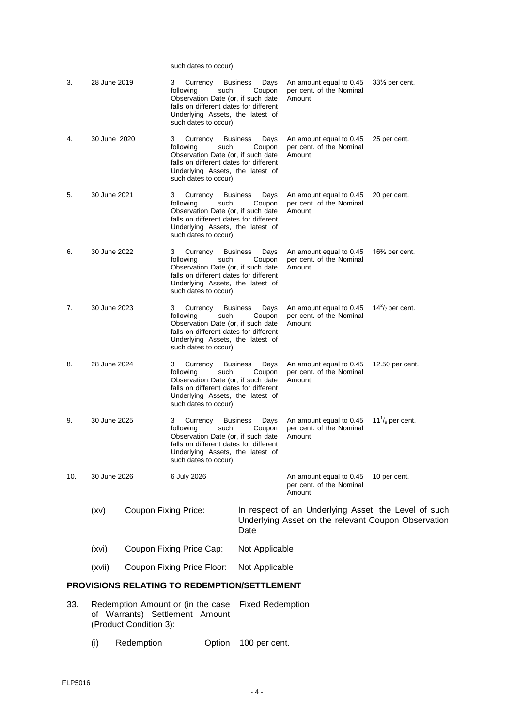such dates to occur)

| 3.  | 28 June 2019                                 |                             | Currency<br>3<br>following<br>such<br>Observation Date (or, if such date<br>falls on different dates for different<br>Underlying Assets, the latest of<br>such dates to occur) | <b>Business</b><br>Days<br>Coupon | An amount equal to 0.45<br>per cent. of the Nominal<br>Amount                                               | $33\%$ per cent.                |  |
|-----|----------------------------------------------|-----------------------------|--------------------------------------------------------------------------------------------------------------------------------------------------------------------------------|-----------------------------------|-------------------------------------------------------------------------------------------------------------|---------------------------------|--|
| 4.  | 30 June 2020                                 |                             | 3<br>Currency<br>following<br>such<br>Observation Date (or, if such date<br>falls on different dates for different<br>Underlying Assets, the latest of<br>such dates to occur) | <b>Business</b><br>Days<br>Coupon | An amount equal to 0.45<br>per cent. of the Nominal<br>Amount                                               | 25 per cent.                    |  |
| 5.  | 30 June 2021                                 |                             | 3<br>Currency<br>such<br>following<br>Observation Date (or, if such date<br>falls on different dates for different<br>Underlying Assets, the latest of<br>such dates to occur) | <b>Business</b><br>Days<br>Coupon | An amount equal to 0.45<br>per cent. of the Nominal<br>Amount                                               | 20 per cent.                    |  |
| 6.  | 30 June 2022                                 |                             | 3<br>Currency<br>following<br>such<br>Observation Date (or, if such date<br>falls on different dates for different<br>Underlying Assets, the latest of<br>such dates to occur) | <b>Business</b><br>Days<br>Coupon | An amount equal to 0.45<br>per cent. of the Nominal<br>Amount                                               | 16 $\frac{2}{3}$ per cent.      |  |
| 7.  | 30 June 2023                                 |                             | Currency<br>3<br>following<br>such<br>Observation Date (or, if such date<br>falls on different dates for different<br>Underlying Assets, the latest of<br>such dates to occur) | <b>Business</b><br>Days<br>Coupon | An amount equal to 0.45<br>per cent. of the Nominal<br>Amount                                               | $14^2$ / <sub>7</sub> per cent. |  |
| 8.  | 28 June 2024                                 |                             | 3<br>Currency<br>following<br>such<br>Observation Date (or, if such date<br>falls on different dates for different<br>Underlying Assets, the latest of<br>such dates to occur) | <b>Business</b><br>Days<br>Coupon | An amount equal to 0.45<br>per cent. of the Nominal<br>Amount                                               | 12.50 per cent.                 |  |
| 9.  | 30 June 2025                                 |                             | Currency<br>3<br>following<br>such<br>Observation Date (or, if such date<br>falls on different dates for different<br>Underlying Assets, the latest of<br>such dates to occur) | Days<br><b>Business</b><br>Coupon | An amount equal to 0.45<br>per cent. of the Nominal<br>Amount                                               | $111/9$ per cent.               |  |
| 10. | 30 June 2026                                 |                             | 6 July 2026                                                                                                                                                                    |                                   | An amount equal to 0.45<br>per cent. of the Nominal<br>Amount                                               | 10 per cent.                    |  |
|     | (xv)                                         | <b>Coupon Fixing Price:</b> |                                                                                                                                                                                | Date                              | In respect of an Underlying Asset, the Level of such<br>Underlying Asset on the relevant Coupon Observation |                                 |  |
|     | (xvi)                                        |                             | Coupon Fixing Price Cap:                                                                                                                                                       | Not Applicable                    |                                                                                                             |                                 |  |
|     | (xvii)                                       |                             | Coupon Fixing Price Floor:                                                                                                                                                     | Not Applicable                    |                                                                                                             |                                 |  |
|     | PROVISIONS RELATING TO REDEMPTION/SETTLEMENT |                             |                                                                                                                                                                                |                                   |                                                                                                             |                                 |  |

- 33. Redemption Amount or (in the case of Warrants) Settlement Amount (Product Condition 3): Fixed Redemption
	- (i) Redemption Option 100 per cent.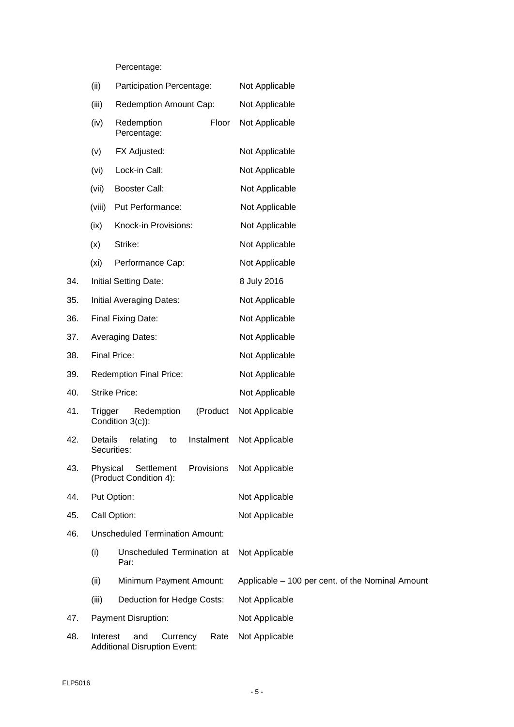# Percentage:

|     | (ii)              | Participation Percentage:                                                  | Not Applicable                                   |
|-----|-------------------|----------------------------------------------------------------------------|--------------------------------------------------|
|     | (iii)             | Redemption Amount Cap:                                                     | Not Applicable                                   |
|     | (iv)              | Redemption<br>Floor<br>Percentage:                                         | Not Applicable                                   |
|     | (v)               | FX Adjusted:                                                               | Not Applicable                                   |
|     | (vi)              | Lock-in Call:                                                              | Not Applicable                                   |
|     | (vii)             | <b>Booster Call:</b>                                                       | Not Applicable                                   |
|     | (viii)            | Put Performance:                                                           | Not Applicable                                   |
|     | (ix)              | Knock-in Provisions:                                                       | Not Applicable                                   |
|     | (x)               | Strike:                                                                    | Not Applicable                                   |
|     | (x <sub>i</sub> ) | Performance Cap:                                                           | Not Applicable                                   |
| 34. |                   | <b>Initial Setting Date:</b>                                               | 8 July 2016                                      |
| 35. |                   | Initial Averaging Dates:                                                   | Not Applicable                                   |
| 36. |                   | Final Fixing Date:                                                         | Not Applicable                                   |
| 37. |                   | <b>Averaging Dates:</b>                                                    | Not Applicable                                   |
| 38. |                   | <b>Final Price:</b>                                                        | Not Applicable                                   |
| 39. |                   | <b>Redemption Final Price:</b>                                             | Not Applicable                                   |
| 40. |                   | <b>Strike Price:</b>                                                       | Not Applicable                                   |
| 41. | Trigger           | (Product<br>Redemption<br>Condition 3(c)):                                 | Not Applicable                                   |
| 42. | Details           | relating<br>Instalment<br>to<br>Securities:                                | Not Applicable                                   |
| 43. |                   | Settlement Provisions Not Applicable<br>Physical<br>(Product Condition 4): |                                                  |
| 44. |                   | Put Option:                                                                | Not Applicable                                   |
| 45. |                   | Call Option:                                                               | Not Applicable                                   |
| 46. |                   | <b>Unscheduled Termination Amount:</b>                                     |                                                  |
|     | (i)               | Unscheduled Termination at<br>Par:                                         | Not Applicable                                   |
|     | (ii)              | Minimum Payment Amount:                                                    | Applicable - 100 per cent. of the Nominal Amount |
|     | (iii)             | Deduction for Hedge Costs:                                                 | Not Applicable                                   |
| 47. |                   | Payment Disruption:                                                        | Not Applicable                                   |
| 48. | Interest          | and<br>Currency<br>Rate<br><b>Additional Disruption Event:</b>             | Not Applicable                                   |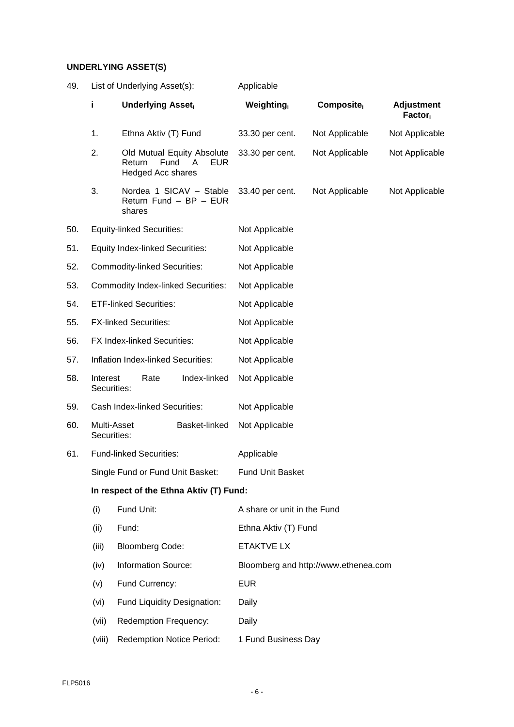## **UNDERLYING ASSET(S)**

| 49. | List of Underlying Asset(s):                                                                |                                        | Applicable                                        |                                      |                |                                          |  |  |  |
|-----|---------------------------------------------------------------------------------------------|----------------------------------------|---------------------------------------------------|--------------------------------------|----------------|------------------------------------------|--|--|--|
|     | j.                                                                                          | <b>Underlying Asset</b>                |                                                   | Weighting                            | Composite      | <b>Adjustment</b><br>Factor <sub>i</sub> |  |  |  |
|     | 1.                                                                                          | Ethna Aktiv (T) Fund                   |                                                   | 33.30 per cent.                      | Not Applicable | Not Applicable                           |  |  |  |
|     | 2.<br>Old Mutual Equity Absolute<br>Return<br>Fund<br>EUR.<br>A<br><b>Hedged Acc shares</b> |                                        | 33.30 per cent.                                   | Not Applicable                       | Not Applicable |                                          |  |  |  |
|     | 3.                                                                                          | shares                                 | Nordea 1 SICAV - Stable<br>Return Fund - BP - EUR | 33.40 per cent.                      | Not Applicable | Not Applicable                           |  |  |  |
| 50. |                                                                                             | <b>Equity-linked Securities:</b>       |                                                   | Not Applicable                       |                |                                          |  |  |  |
| 51. |                                                                                             | <b>Equity Index-linked Securities:</b> |                                                   | Not Applicable                       |                |                                          |  |  |  |
| 52. |                                                                                             | <b>Commodity-linked Securities:</b>    |                                                   | Not Applicable                       |                |                                          |  |  |  |
| 53. |                                                                                             |                                        | <b>Commodity Index-linked Securities:</b>         | Not Applicable                       |                |                                          |  |  |  |
| 54. |                                                                                             | <b>ETF-linked Securities:</b>          |                                                   | Not Applicable                       |                |                                          |  |  |  |
| 55. |                                                                                             | <b>FX-linked Securities:</b>           |                                                   | Not Applicable                       |                |                                          |  |  |  |
| 56. |                                                                                             | FX Index-linked Securities:            |                                                   | Not Applicable                       |                |                                          |  |  |  |
| 57. |                                                                                             | Inflation Index-linked Securities:     |                                                   | Not Applicable                       |                |                                          |  |  |  |
| 58. | Interest<br>Securities:                                                                     | Rate                                   | Index-linked                                      | Not Applicable                       |                |                                          |  |  |  |
| 59. |                                                                                             | Cash Index-linked Securities:          |                                                   | Not Applicable                       |                |                                          |  |  |  |
| 60. | Securities:                                                                                 | Multi-Asset                            | Basket-linked                                     | Not Applicable                       |                |                                          |  |  |  |
| 61. |                                                                                             | <b>Fund-linked Securities:</b>         |                                                   | Applicable                           |                |                                          |  |  |  |
|     |                                                                                             | Single Fund or Fund Unit Basket:       |                                                   | <b>Fund Unit Basket</b>              |                |                                          |  |  |  |
|     |                                                                                             |                                        | In respect of the Ethna Aktiv (T) Fund:           |                                      |                |                                          |  |  |  |
|     | (i)                                                                                         | Fund Unit:                             |                                                   | A share or unit in the Fund          |                |                                          |  |  |  |
|     | (ii)                                                                                        | Fund:                                  |                                                   | Ethna Aktiv (T) Fund                 |                |                                          |  |  |  |
|     | (iii)                                                                                       | <b>Bloomberg Code:</b>                 |                                                   | <b>ETAKTVE LX</b>                    |                |                                          |  |  |  |
|     | (iv)                                                                                        | <b>Information Source:</b>             |                                                   | Bloomberg and http://www.ethenea.com |                |                                          |  |  |  |
|     | (v)                                                                                         | Fund Currency:                         |                                                   | <b>EUR</b>                           |                |                                          |  |  |  |
|     | (vi)                                                                                        |                                        | Fund Liquidity Designation:                       | Daily                                |                |                                          |  |  |  |
|     | (vii)                                                                                       | Redemption Frequency:                  |                                                   | Daily                                |                |                                          |  |  |  |
|     | (viii)                                                                                      |                                        | <b>Redemption Notice Period:</b>                  | 1 Fund Business Day                  |                |                                          |  |  |  |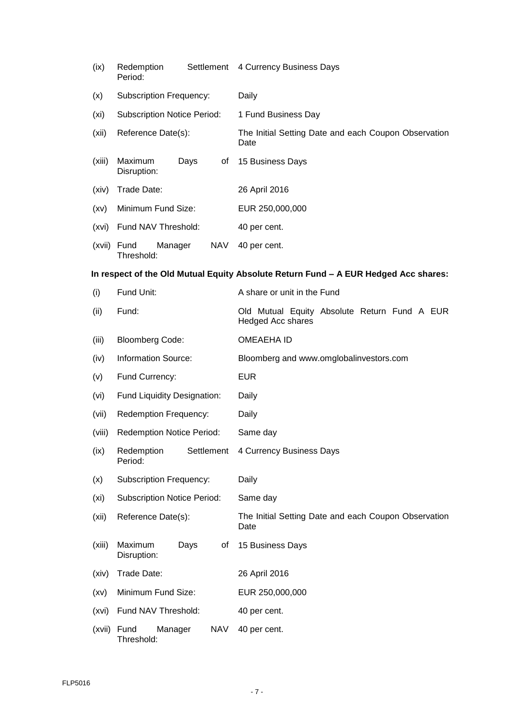| (ix)              | Settlement<br>Redemption<br>Period:         | 4 Currency Business Days                                                            |
|-------------------|---------------------------------------------|-------------------------------------------------------------------------------------|
| (x)               | <b>Subscription Frequency:</b>              | Daily                                                                               |
| (xi)              | <b>Subscription Notice Period:</b>          | 1 Fund Business Day                                                                 |
| (xii)             | Reference Date(s):                          | The Initial Setting Date and each Coupon Observation<br>Date                        |
| (xiii)            | Maximum<br>Days<br>οf<br>Disruption:        | 15 Business Days                                                                    |
| (xiv)             | Trade Date:                                 | 26 April 2016                                                                       |
| (xv)              | Minimum Fund Size:                          | EUR 250,000,000                                                                     |
| (xvi)             | Fund NAV Threshold:                         | 40 per cent.                                                                        |
|                   | (xvii) Fund<br>Manager<br>NAV<br>Threshold: | 40 per cent.                                                                        |
|                   |                                             | In respect of the Old Mutual Equity Absolute Return Fund - A EUR Hedged Acc shares: |
| (i)               | Fund Unit:                                  | A share or unit in the Fund                                                         |
| (ii)              | Fund:                                       | Old Mutual Equity Absolute Return Fund A EUR<br><b>Hedged Acc shares</b>            |
| (iii)             | <b>Bloomberg Code:</b>                      | <b>OMEAEHA ID</b>                                                                   |
| (iv)              | <b>Information Source:</b>                  | Bloomberg and www.omglobalinvestors.com                                             |
|                   |                                             |                                                                                     |
| (v)               | Fund Currency:                              | <b>EUR</b>                                                                          |
| (vi)              | Fund Liquidity Designation:                 | Daily                                                                               |
| (vii)             | <b>Redemption Frequency:</b>                | Daily                                                                               |
| (viii)            | <b>Redemption Notice Period:</b>            | Same day                                                                            |
| (ix)              | Redemption<br>Settlement<br>Period:         | 4 Currency Business Days                                                            |
| (x)               | <b>Subscription Frequency:</b>              | Daily                                                                               |
| (x <sub>i</sub> ) | <b>Subscription Notice Period:</b>          | Same day                                                                            |
| (xii)             | Reference Date(s):                          | The Initial Setting Date and each Coupon Observation<br>Date                        |
| (xiii)            | Maximum<br>Days<br>οf<br>Disruption:        | 15 Business Days                                                                    |
| (xiv)             | Trade Date:                                 | 26 April 2016                                                                       |
| (xv)              | Minimum Fund Size:                          | EUR 250,000,000                                                                     |
| (xvi)             | Fund NAV Threshold:                         | 40 per cent.                                                                        |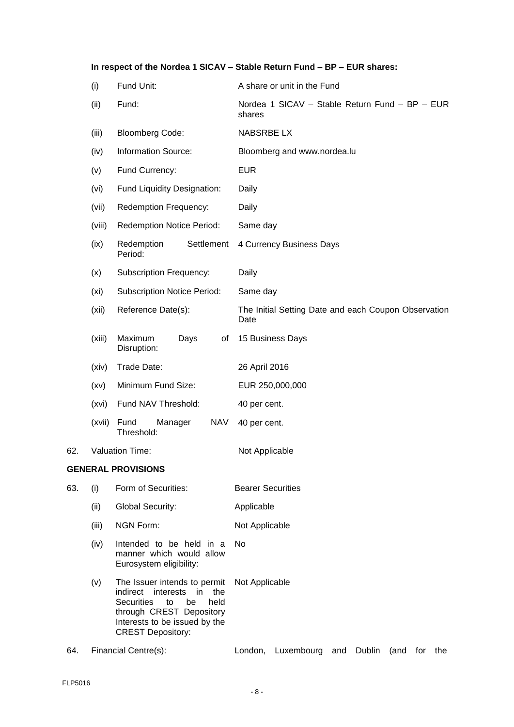|     |        |                                                                                                                                                                                                   | In respect of the Nordea 1 SICAV - Stable Return Fund - BP - EUR shares: |
|-----|--------|---------------------------------------------------------------------------------------------------------------------------------------------------------------------------------------------------|--------------------------------------------------------------------------|
|     | (i)    | Fund Unit:                                                                                                                                                                                        | A share or unit in the Fund                                              |
|     | (ii)   | Fund:                                                                                                                                                                                             | Nordea 1 SICAV - Stable Return Fund - BP - EUR<br>shares                 |
|     | (iii)  | <b>Bloomberg Code:</b>                                                                                                                                                                            | <b>NABSRBE LX</b>                                                        |
|     | (iv)   | <b>Information Source:</b>                                                                                                                                                                        | Bloomberg and www.nordea.lu                                              |
|     | (v)    | Fund Currency:                                                                                                                                                                                    | <b>EUR</b>                                                               |
|     | (vi)   | Fund Liquidity Designation:                                                                                                                                                                       | Daily                                                                    |
|     | (vii)  | Redemption Frequency:                                                                                                                                                                             | Daily                                                                    |
|     | (viii) | <b>Redemption Notice Period:</b>                                                                                                                                                                  | Same day                                                                 |
|     | (ix)   | Redemption<br>Settlement<br>Period:                                                                                                                                                               | 4 Currency Business Days                                                 |
|     | (x)    | <b>Subscription Frequency:</b>                                                                                                                                                                    | Daily                                                                    |
|     | (xi)   | <b>Subscription Notice Period:</b>                                                                                                                                                                | Same day                                                                 |
|     | (xii)  | Reference Date(s):                                                                                                                                                                                | The Initial Setting Date and each Coupon Observation<br>Date             |
|     | (xiii) | Maximum<br>Days<br>of<br>Disruption:                                                                                                                                                              | 15 Business Days                                                         |
|     | (xiv)  | Trade Date:                                                                                                                                                                                       | 26 April 2016                                                            |
|     | (xv)   | Minimum Fund Size:                                                                                                                                                                                | EUR 250,000,000                                                          |
|     | (xvi)  | Fund NAV Threshold:                                                                                                                                                                               | 40 per cent.                                                             |
|     | (xvii) | <b>NAV</b><br>Fund<br>Manager<br>Threshold:                                                                                                                                                       | 40 per cent.                                                             |
| 62. |        | Valuation Time:                                                                                                                                                                                   | Not Applicable                                                           |
|     |        | <b>GENERAL PROVISIONS</b>                                                                                                                                                                         |                                                                          |
| 63. | (i)    | Form of Securities:                                                                                                                                                                               | <b>Bearer Securities</b>                                                 |
|     | (ii)   | <b>Global Security:</b>                                                                                                                                                                           | Applicable                                                               |
|     | (iii)  | <b>NGN Form:</b>                                                                                                                                                                                  | Not Applicable                                                           |
|     | (iv)   | Intended to be held in a<br>manner which would allow<br>Eurosystem eligibility:                                                                                                                   | No                                                                       |
|     | (v)    | The Issuer intends to permit<br>indirect interests<br>in<br>the<br><b>Securities</b><br>be<br>held<br>to<br>through CREST Depository<br>Interests to be issued by the<br><b>CREST Depository:</b> | Not Applicable                                                           |

64. Financial Centre(s): London, Luxembourg and Dublin (and for the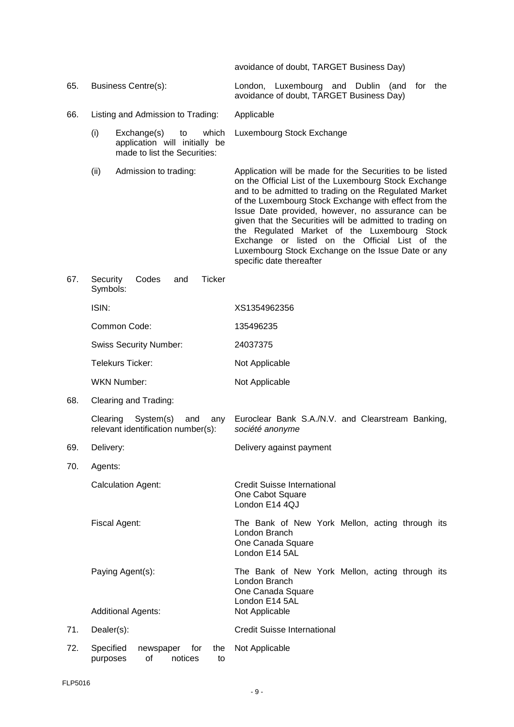avoidance of doubt, TARGET Business Day)

66. Listing and Admission to Trading: Applicable

- (i) Exchange(s) to which application will initially be made to list the Securities: Luxembourg Stock Exchange
- 

65. Business Centre(s): London, Luxembourg and Dublin (and for the avoidance of doubt, TARGET Business Day)

(ii) Admission to trading: Application will be made for the Securities to be listed on the Official List of the Luxembourg Stock Exchange and to be admitted to trading on the Regulated Market of the Luxembourg Stock Exchange with effect from the Issue Date provided, however, no assurance can be given that the Securities will be admitted to trading on the Regulated Market of the Luxembourg Stock Exchange or listed on the Official List of the Luxembourg Stock Exchange on the Issue Date or any specific date thereafter

| 67. | Codes<br><b>Ticker</b><br>Security<br>and<br>Symbols:                     |                                                                                                                           |  |  |  |
|-----|---------------------------------------------------------------------------|---------------------------------------------------------------------------------------------------------------------------|--|--|--|
|     | ISIN:                                                                     | XS1354962356                                                                                                              |  |  |  |
|     | Common Code:                                                              | 135496235                                                                                                                 |  |  |  |
|     | <b>Swiss Security Number:</b>                                             | 24037375                                                                                                                  |  |  |  |
|     | <b>Telekurs Ticker:</b>                                                   | Not Applicable                                                                                                            |  |  |  |
|     | <b>WKN Number:</b>                                                        | Not Applicable                                                                                                            |  |  |  |
| 68. | Clearing and Trading:                                                     |                                                                                                                           |  |  |  |
|     | Clearing<br>System(s)<br>and<br>any<br>relevant identification number(s): | Euroclear Bank S.A./N.V. and Clearstream Banking,<br>société anonyme                                                      |  |  |  |
| 69. | Delivery:                                                                 | Delivery against payment                                                                                                  |  |  |  |
| 70. | Agents:                                                                   |                                                                                                                           |  |  |  |
|     | <b>Calculation Agent:</b>                                                 | <b>Credit Suisse International</b><br>One Cabot Square<br>London E14 4QJ                                                  |  |  |  |
|     | Fiscal Agent:                                                             | The Bank of New York Mellon, acting through its<br>London Branch<br>One Canada Square<br>London E14 5AL                   |  |  |  |
|     | Paying Agent(s):<br><b>Additional Agents:</b>                             | The Bank of New York Mellon, acting through its<br>London Branch<br>One Canada Square<br>London E14 5AL<br>Not Applicable |  |  |  |
| 71. | Dealer(s):                                                                | <b>Credit Suisse International</b>                                                                                        |  |  |  |
|     |                                                                           |                                                                                                                           |  |  |  |
| 72. | Specified<br>newspaper<br>for<br>the<br>οf<br>notices<br>purposes<br>to   | Not Applicable                                                                                                            |  |  |  |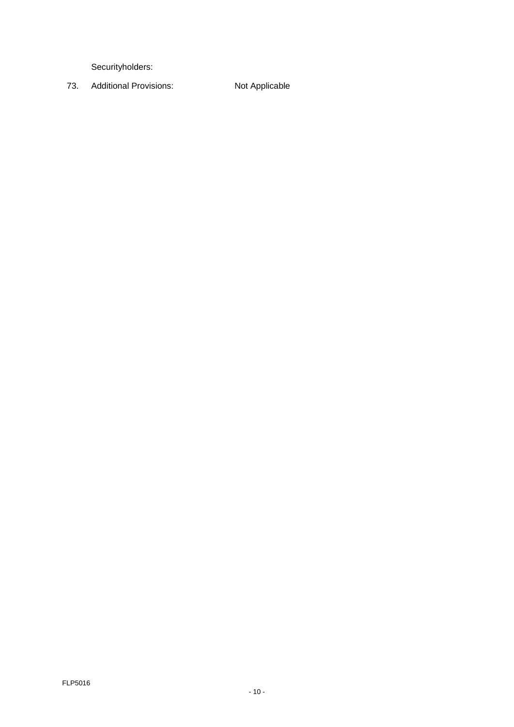Securityholders:

73. Additional Provisions: Not Applicable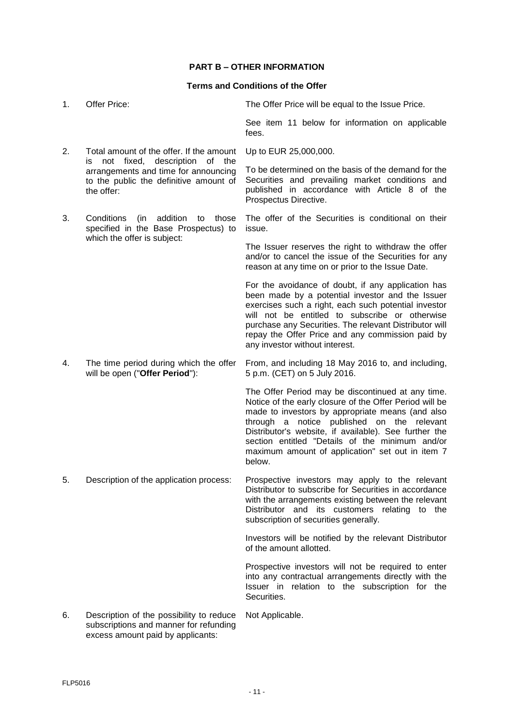# **PART B – OTHER INFORMATION**

## **Terms and Conditions of the Offer**

| 1. | Offer Price:                                                                                                                             | The Offer Price will be equal to the Issue Price.                                                                                                                                                                                                                                                                                                                                        |  |  |
|----|------------------------------------------------------------------------------------------------------------------------------------------|------------------------------------------------------------------------------------------------------------------------------------------------------------------------------------------------------------------------------------------------------------------------------------------------------------------------------------------------------------------------------------------|--|--|
|    |                                                                                                                                          | See item 11 below for information on applicable<br>fees.                                                                                                                                                                                                                                                                                                                                 |  |  |
| 2. | Total amount of the offer. If the amount                                                                                                 | Up to EUR 25,000,000.                                                                                                                                                                                                                                                                                                                                                                    |  |  |
|    | not fixed, description<br>of the<br>is l<br>arrangements and time for announcing<br>to the public the definitive amount of<br>the offer: | To be determined on the basis of the demand for the<br>Securities and prevailing market conditions and<br>published in accordance with Article 8 of the<br>Prospectus Directive.                                                                                                                                                                                                         |  |  |
| 3. | Conditions<br>addition<br>(in<br>those<br>to<br>specified in the Base Prospectus) to                                                     | The offer of the Securities is conditional on their<br>issue.                                                                                                                                                                                                                                                                                                                            |  |  |
|    | which the offer is subject:                                                                                                              | The Issuer reserves the right to withdraw the offer<br>and/or to cancel the issue of the Securities for any<br>reason at any time on or prior to the Issue Date.                                                                                                                                                                                                                         |  |  |
|    |                                                                                                                                          | For the avoidance of doubt, if any application has<br>been made by a potential investor and the Issuer<br>exercises such a right, each such potential investor<br>will not be entitled to subscribe or otherwise<br>purchase any Securities. The relevant Distributor will<br>repay the Offer Price and any commission paid by<br>any investor without interest.                         |  |  |
| 4. | The time period during which the offer<br>will be open ("Offer Period"):                                                                 | From, and including 18 May 2016 to, and including,<br>5 p.m. (CET) on 5 July 2016.                                                                                                                                                                                                                                                                                                       |  |  |
|    |                                                                                                                                          | The Offer Period may be discontinued at any time.<br>Notice of the early closure of the Offer Period will be<br>made to investors by appropriate means (and also<br>through a notice published on the relevant<br>Distributor's website, if available). See further the<br>section entitled "Details of the minimum and/or<br>maximum amount of application" set out in item 7<br>below. |  |  |
| 5. | Description of the application process:                                                                                                  | Prospective investors may apply to the relevant<br>Distributor to subscribe for Securities in accordance<br>with the arrangements existing between the relevant<br>Distributor and its customers relating to the<br>subscription of securities generally.                                                                                                                                |  |  |
|    |                                                                                                                                          | Investors will be notified by the relevant Distributor<br>of the amount allotted.                                                                                                                                                                                                                                                                                                        |  |  |
|    |                                                                                                                                          | Prospective investors will not be required to enter<br>into any contractual arrangements directly with the<br>Issuer in relation to the subscription for the<br>Securities.                                                                                                                                                                                                              |  |  |
| 6. | Description of the possibility to reduce<br>subscriptions and manner for refunding<br>excess amount paid by applicants:                  | Not Applicable.                                                                                                                                                                                                                                                                                                                                                                          |  |  |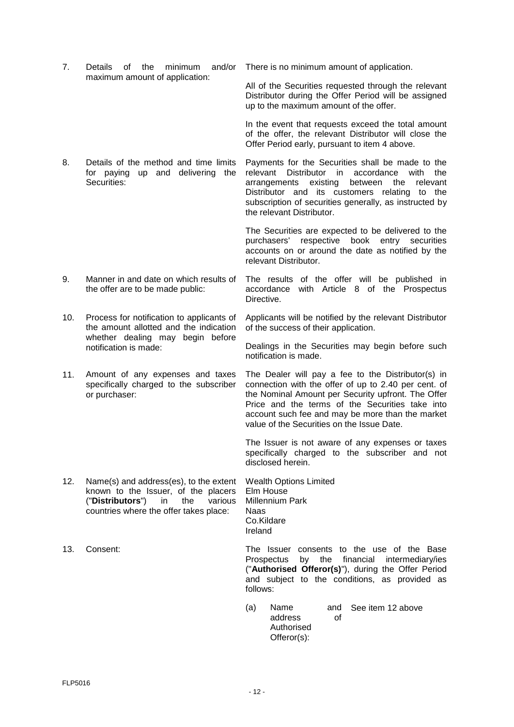for paying up and delivering the Securities: relevant Distributor in accordance with the arrangements existing between the relevant Distributor and its customers relating to the subscription of securities generally, as instructed by the relevant Distributor. The Securities are expected to be delivered to the purchasers' respective book entry securities accounts on or around the date as notified by the relevant Distributor. 9. Manner in and date on which results of the offer are to be made public: The results of the offer will be published in accordance with Article 8 of the Prospectus Directive. 10. Process for notification to applicants of the amount allotted and the indication whether dealing may begin before notification is made: Applicants will be notified by the relevant Distributor of the success of their application. Dealings in the Securities may begin before such notification is made. 11. Amount of any expenses and taxes specifically charged to the subscriber or purchaser: The Dealer will pay a fee to the Distributor(s) in connection with the offer of up to 2.40 per cent. of the Nominal Amount per Security upfront. The Offer Price and the terms of the Securities take into account such fee and may be more than the market value of the Securities on the Issue Date. The Issuer is not aware of any expenses or taxes specifically charged to the subscriber and not disclosed herein. 12. Name(s) and address(es), to the extent known to the Issuer, of the placers ("**Distributors**") in the various countries where the offer takes place: Wealth Options Limited Elm House Millennium Park Naas Co.Kildare Ireland 13. Consent: The Issuer consents to the use of the Base Prospectus by the financial intermediary/ies ("**Authorised Offeror(s)**"), during the Offer Period and subject to the conditions, as provided as

7. Details of the minimum and/or There is no minimum amount of application.

All of the Securities requested through the relevant Distributor during the Offer Period will be assigned

In the event that requests exceed the total amount of the offer, the relevant Distributor will close the

Payments for the Securities shall be made to the

up to the maximum amount of the offer.

Offer Period early, pursuant to item 4 above.

maximum amount of application:

8. Details of the method and time limits

(a) Name and address of Authorised Offeror(s): See item 12 above

follows: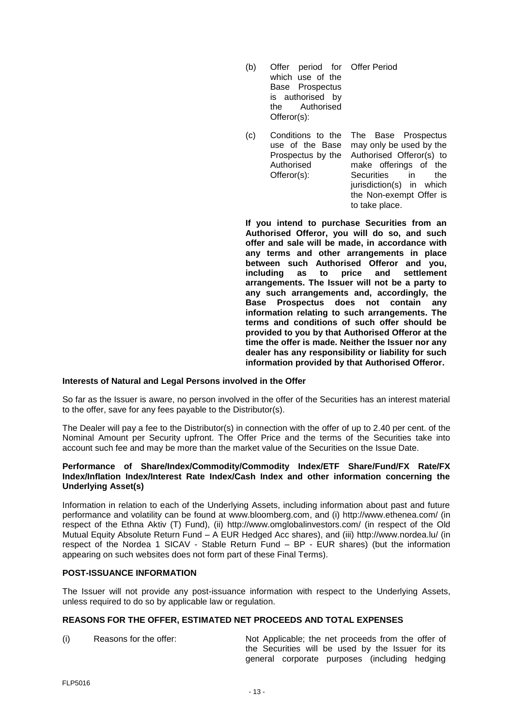- (b) Offer period for Offer Period which use of the Base Prospectus is authorised by the Authorised Offeror(s):
- (c) Conditions to the use of the Base Prospectus by the Authorised Offeror(s): The Base Prospectus may only be used by the Authorised Offeror(s) to make offerings of the<br>Securities in the **Securities** jurisdiction(s) in which the Non-exempt Offer is to take place.

**If you intend to purchase Securities from an Authorised Offeror, you will do so, and such offer and sale will be made, in accordance with any terms and other arrangements in place between such Authorised Offeror and you, including** as to **arrangements. The Issuer will not be a party to any such arrangements and, accordingly, the Base Prospectus does not contain any information relating to such arrangements. The terms and conditions of such offer should be provided to you by that Authorised Offeror at the time the offer is made. Neither the Issuer nor any dealer has any responsibility or liability for such information provided by that Authorised Offeror.**

## **Interests of Natural and Legal Persons involved in the Offer**

So far as the Issuer is aware, no person involved in the offer of the Securities has an interest material to the offer, save for any fees payable to the Distributor(s).

The Dealer will pay a fee to the Distributor(s) in connection with the offer of up to 2.40 per cent. of the Nominal Amount per Security upfront. The Offer Price and the terms of the Securities take into account such fee and may be more than the market value of the Securities on the Issue Date.

#### **Performance of Share/Index/Commodity/Commodity Index/ETF Share/Fund/FX Rate/FX Index/Inflation Index/Interest Rate Index/Cash Index and other information concerning the Underlying Asset(s)**

Information in relation to each of the Underlying Assets, including information about past and future performance and volatility can be found at www.bloomberg.com, and (i) http://www.ethenea.com/ (in respect of the Ethna Aktiv (T) Fund), (ii) http://www.omglobalinvestors.com/ (in respect of the Old Mutual Equity Absolute Return Fund – A EUR Hedged Acc shares), and (iii) http://www.nordea.lu/ (in respect of the Nordea 1 SICAV - Stable Return Fund – BP - EUR shares) (but the information appearing on such websites does not form part of these Final Terms).

## **POST-ISSUANCE INFORMATION**

The Issuer will not provide any post-issuance information with respect to the Underlying Assets, unless required to do so by applicable law or regulation.

#### **REASONS FOR THE OFFER, ESTIMATED NET PROCEEDS AND TOTAL EXPENSES**

(i) Reasons for the offer: Not Applicable; the net proceeds from the offer of the Securities will be used by the Issuer for its general corporate purposes (including hedging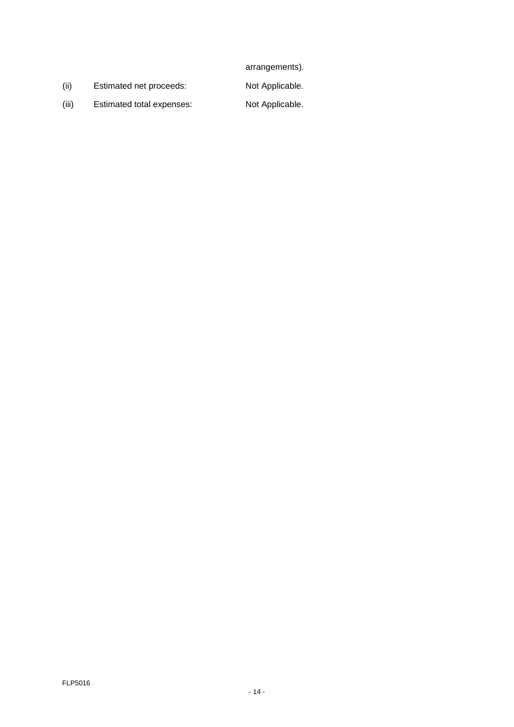arrangements).

(ii) Estimated net proceeds: Not Applicable.

(iii) Estimated total expenses: Not Applicable.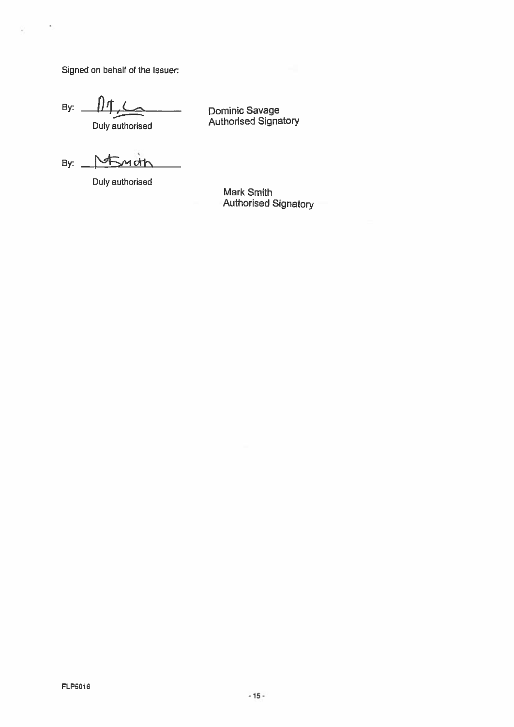Signed on behalf of the Issuer:

×

ü

By:

Duly authorised

Dominic Savage<br>Authorised Signatory

By:

Duly authorised

**Mark Smith Authorised Signatory**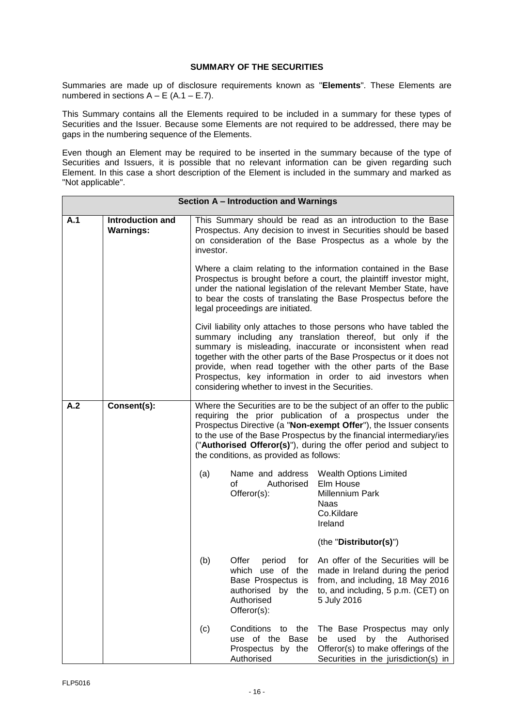# **SUMMARY OF THE SECURITIES**

Summaries are made up of disclosure requirements known as "**Elements**". These Elements are numbered in sections  $A - E$  (A.1 – E.7).

This Summary contains all the Elements required to be included in a summary for these types of Securities and the Issuer. Because some Elements are not required to be addressed, there may be gaps in the numbering sequence of the Elements.

Even though an Element may be required to be inserted in the summary because of the type of Securities and Issuers, it is possible that no relevant information can be given regarding such Element. In this case a short description of the Element is included in the summary and marked as "Not applicable".

|     | Section A - Introduction and Warnings       |                                                                                                                                                                                                                                                                                                                                                                                                                                                          |                                                                                                                    |                                                                                                                                                                                             |  |  |
|-----|---------------------------------------------|----------------------------------------------------------------------------------------------------------------------------------------------------------------------------------------------------------------------------------------------------------------------------------------------------------------------------------------------------------------------------------------------------------------------------------------------------------|--------------------------------------------------------------------------------------------------------------------|---------------------------------------------------------------------------------------------------------------------------------------------------------------------------------------------|--|--|
| A.1 | <b>Introduction and</b><br><b>Warnings:</b> | investor.                                                                                                                                                                                                                                                                                                                                                                                                                                                |                                                                                                                    | This Summary should be read as an introduction to the Base<br>Prospectus. Any decision to invest in Securities should be based<br>on consideration of the Base Prospectus as a whole by the |  |  |
|     |                                             | Where a claim relating to the information contained in the Base<br>Prospectus is brought before a court, the plaintiff investor might,<br>under the national legislation of the relevant Member State, have<br>to bear the costs of translating the Base Prospectus before the<br>legal proceedings are initiated.                                                                                                                                       |                                                                                                                    |                                                                                                                                                                                             |  |  |
|     |                                             | Civil liability only attaches to those persons who have tabled the<br>summary including any translation thereof, but only if the<br>summary is misleading, inaccurate or inconsistent when read<br>together with the other parts of the Base Prospectus or it does not<br>provide, when read together with the other parts of the Base<br>Prospectus, key information in order to aid investors when<br>considering whether to invest in the Securities. |                                                                                                                    |                                                                                                                                                                                             |  |  |
| A.2 | Consent(s):                                 | Where the Securities are to be the subject of an offer to the public<br>requiring the prior publication of a prospectus under the<br>Prospectus Directive (a "Non-exempt Offer"), the Issuer consents<br>to the use of the Base Prospectus by the financial intermediary/ies<br>("Authorised Offeror(s)"), during the offer period and subject to<br>the conditions, as provided as follows:                                                             |                                                                                                                    |                                                                                                                                                                                             |  |  |
|     |                                             | (a)                                                                                                                                                                                                                                                                                                                                                                                                                                                      | Name and address<br>of<br>Authorised<br>Offeror(s):                                                                | <b>Wealth Options Limited</b><br>Elm House<br>Millennium Park<br><b>Naas</b><br>Co.Kildare<br>Ireland                                                                                       |  |  |
|     |                                             |                                                                                                                                                                                                                                                                                                                                                                                                                                                          |                                                                                                                    | (the "Distributor(s)")                                                                                                                                                                      |  |  |
|     |                                             | (b)                                                                                                                                                                                                                                                                                                                                                                                                                                                      | Offer<br>period<br>for<br>which use of the<br>Base Prospectus is<br>authorised by the<br>Authorised<br>Offeror(s): | An offer of the Securities will be<br>made in Ireland during the period<br>from, and including, 18 May 2016<br>to, and including, 5 p.m. (CET) on<br>5 July 2016                            |  |  |
|     |                                             | (c)                                                                                                                                                                                                                                                                                                                                                                                                                                                      | Conditions to the<br>use of the Base<br>Prospectus by the<br>Authorised                                            | The Base Prospectus may only<br>by the Authorised<br>used<br>be<br>Offeror(s) to make offerings of the<br>Securities in the jurisdiction(s) in                                              |  |  |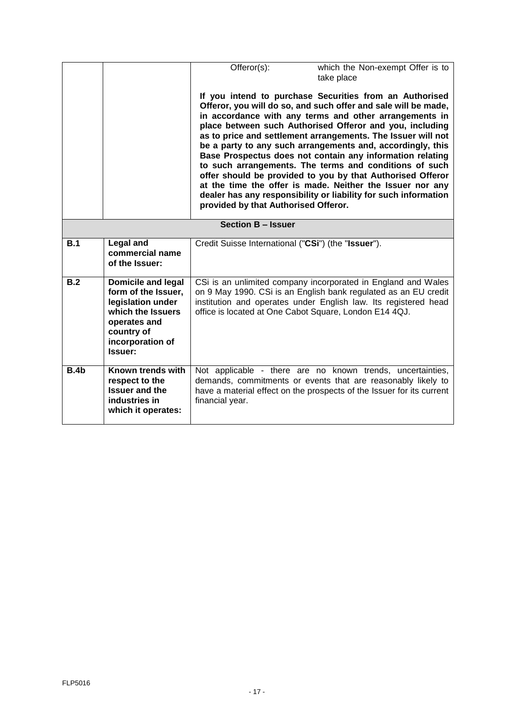|                           |                                                                                                                                                         | Offeror(s):                                            | which the Non-exempt Offer is to<br>take place                                                                                                                                                                                                                                                                                                                                                                                                                                                                                                                                                                                                                                                     |
|---------------------------|---------------------------------------------------------------------------------------------------------------------------------------------------------|--------------------------------------------------------|----------------------------------------------------------------------------------------------------------------------------------------------------------------------------------------------------------------------------------------------------------------------------------------------------------------------------------------------------------------------------------------------------------------------------------------------------------------------------------------------------------------------------------------------------------------------------------------------------------------------------------------------------------------------------------------------------|
|                           |                                                                                                                                                         | provided by that Authorised Offeror.                   | If you intend to purchase Securities from an Authorised<br>Offeror, you will do so, and such offer and sale will be made,<br>in accordance with any terms and other arrangements in<br>place between such Authorised Offeror and you, including<br>as to price and settlement arrangements. The Issuer will not<br>be a party to any such arrangements and, accordingly, this<br>Base Prospectus does not contain any information relating<br>to such arrangements. The terms and conditions of such<br>offer should be provided to you by that Authorised Offeror<br>at the time the offer is made. Neither the Issuer nor any<br>dealer has any responsibility or liability for such information |
| <b>Section B - Issuer</b> |                                                                                                                                                         |                                                        |                                                                                                                                                                                                                                                                                                                                                                                                                                                                                                                                                                                                                                                                                                    |
| B.1                       | <b>Legal and</b><br>commercial name<br>of the Issuer:                                                                                                   | Credit Suisse International ("CSi") (the "Issuer").    |                                                                                                                                                                                                                                                                                                                                                                                                                                                                                                                                                                                                                                                                                                    |
| B.2                       | <b>Domicile and legal</b><br>form of the Issuer,<br>legislation under<br>which the Issuers<br>operates and<br>country of<br>incorporation of<br>Issuer: | office is located at One Cabot Square, London E14 4QJ. | CSi is an unlimited company incorporated in England and Wales<br>on 9 May 1990. CSi is an English bank regulated as an EU credit<br>institution and operates under English law. Its registered head                                                                                                                                                                                                                                                                                                                                                                                                                                                                                                |
| B.4b                      | Known trends with<br>respect to the<br><b>Issuer and the</b><br>industries in<br>which it operates:                                                     | financial year.                                        | Not applicable - there are no known trends, uncertainties,<br>demands, commitments or events that are reasonably likely to<br>have a material effect on the prospects of the Issuer for its current                                                                                                                                                                                                                                                                                                                                                                                                                                                                                                |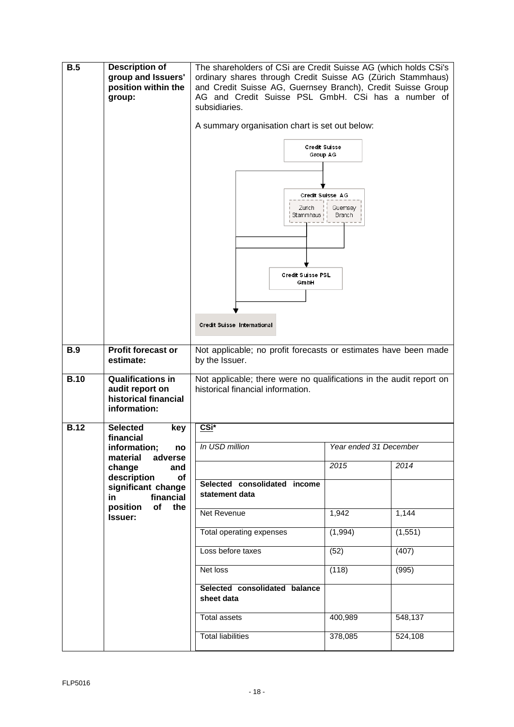| B.5         | <b>Description of</b><br>group and Issuers'<br>position within the<br>group:        | The shareholders of CSi are Credit Suisse AG (which holds CSi's<br>ordinary shares through Credit Suisse AG (Zürich Stammhaus)<br>and Credit Suisse AG, Guernsey Branch), Credit Suisse Group<br>AG and Credit Suisse PSL GmbH. CSi has a number of<br>subsidiaries. |                                       |          |
|-------------|-------------------------------------------------------------------------------------|----------------------------------------------------------------------------------------------------------------------------------------------------------------------------------------------------------------------------------------------------------------------|---------------------------------------|----------|
|             |                                                                                     | A summary organisation chart is set out below:                                                                                                                                                                                                                       |                                       |          |
|             |                                                                                     | <b>Credit Suisse</b><br>Group AG<br>Zurich<br>Stammhaus i<br>Credit Suisse PSL<br>GmbH<br>Credit Suisse International                                                                                                                                                | Credit Suisse AG<br>Guemsey<br>Branch |          |
| <b>B.9</b>  | <b>Profit forecast or</b>                                                           | Not applicable; no profit forecasts or estimates have been made                                                                                                                                                                                                      |                                       |          |
|             | estimate:                                                                           | by the Issuer.                                                                                                                                                                                                                                                       |                                       |          |
| <b>B.10</b> | <b>Qualifications in</b><br>audit report on<br>historical financial<br>information: | Not applicable; there were no qualifications in the audit report on<br>historical financial information.                                                                                                                                                             |                                       |          |
| <b>B.12</b> | <b>Selected</b><br>key<br>financial                                                 | <u>CSi*</u>                                                                                                                                                                                                                                                          |                                       |          |
|             | information;<br>no                                                                  | In USD million                                                                                                                                                                                                                                                       | Year ended 31 December                |          |
|             | material<br>adverse<br>change<br>and                                                |                                                                                                                                                                                                                                                                      | 2015                                  | 2014     |
|             | description<br>of<br>significant change<br>financial<br>in                          | Selected consolidated income<br>statement data                                                                                                                                                                                                                       |                                       |          |
|             | position<br>of<br>the<br>Issuer:                                                    | Net Revenue                                                                                                                                                                                                                                                          | 1,942                                 | 1,144    |
|             |                                                                                     | Total operating expenses                                                                                                                                                                                                                                             | (1,994)                               | (1, 551) |
|             |                                                                                     | Loss before taxes                                                                                                                                                                                                                                                    | (52)                                  | (407)    |
|             |                                                                                     | Net loss                                                                                                                                                                                                                                                             | (118)                                 | (995)    |
|             |                                                                                     | Selected consolidated balance<br>sheet data                                                                                                                                                                                                                          |                                       |          |
|             |                                                                                     | Total assets                                                                                                                                                                                                                                                         | 400,989                               | 548,137  |
|             |                                                                                     | <b>Total liabilities</b>                                                                                                                                                                                                                                             | 378,085                               | 524,108  |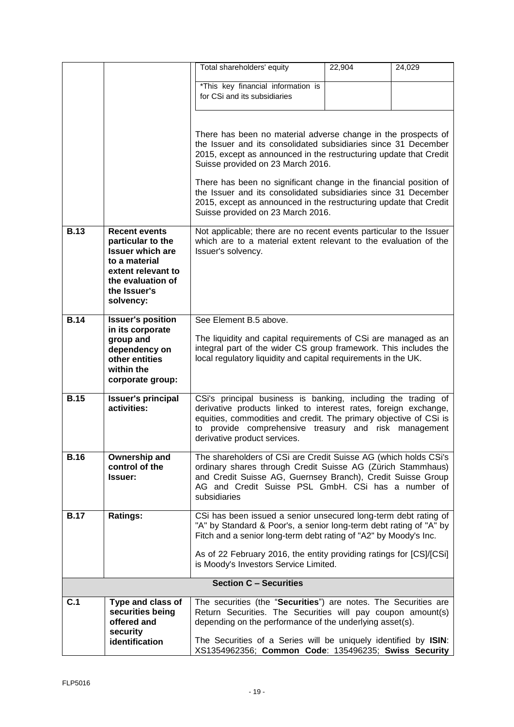|             |                                                                      | Total shareholders' equity                                                                                                              | 22,904 | 24,029 |
|-------------|----------------------------------------------------------------------|-----------------------------------------------------------------------------------------------------------------------------------------|--------|--------|
|             |                                                                      | *This key financial information is                                                                                                      |        |        |
|             |                                                                      | for CSi and its subsidiaries                                                                                                            |        |        |
|             |                                                                      |                                                                                                                                         |        |        |
|             |                                                                      | There has been no material adverse change in the prospects of                                                                           |        |        |
|             |                                                                      | the Issuer and its consolidated subsidiaries since 31 December<br>2015, except as announced in the restructuring update that Credit     |        |        |
|             |                                                                      | Suisse provided on 23 March 2016.                                                                                                       |        |        |
|             |                                                                      | There has been no significant change in the financial position of<br>the Issuer and its consolidated subsidiaries since 31 December     |        |        |
|             |                                                                      | 2015, except as announced in the restructuring update that Credit<br>Suisse provided on 23 March 2016.                                  |        |        |
| <b>B.13</b> | <b>Recent events</b><br>particular to the<br><b>Issuer which are</b> | Not applicable; there are no recent events particular to the Issuer<br>which are to a material extent relevant to the evaluation of the |        |        |
|             | to a material                                                        | Issuer's solvency.                                                                                                                      |        |        |
|             | extent relevant to<br>the evaluation of                              |                                                                                                                                         |        |        |
|             | the Issuer's                                                         |                                                                                                                                         |        |        |
|             | solvency:                                                            |                                                                                                                                         |        |        |
| <b>B.14</b> | <b>Issuer's position</b><br>in its corporate                         | See Element B.5 above.                                                                                                                  |        |        |
|             | group and                                                            | The liquidity and capital requirements of CSi are managed as an                                                                         |        |        |
|             | dependency on<br>other entities                                      | integral part of the wider CS group framework. This includes the<br>local regulatory liquidity and capital requirements in the UK.      |        |        |
|             | within the                                                           |                                                                                                                                         |        |        |
|             | corporate group:                                                     |                                                                                                                                         |        |        |
| <b>B.15</b> | <b>Issuer's principal</b><br>activities:                             | CSi's principal business is banking, including the trading of<br>derivative products linked to interest rates, foreign exchange,        |        |        |
|             |                                                                      | equities, commodities and credit. The primary objective of CSi is                                                                       |        |        |
|             |                                                                      | to provide comprehensive treasury and risk management<br>derivative product services.                                                   |        |        |
|             |                                                                      |                                                                                                                                         |        |        |
| <b>B.16</b> | Ownership and<br>control of the                                      | The shareholders of CSi are Credit Suisse AG (which holds CSi's<br>ordinary shares through Credit Suisse AG (Zürich Stammhaus)          |        |        |
|             | Issuer:                                                              | and Credit Suisse AG, Guernsey Branch), Credit Suisse Group<br>AG and Credit Suisse PSL GmbH. CSi has a number of                       |        |        |
|             |                                                                      | subsidiaries                                                                                                                            |        |        |
| <b>B.17</b> | <b>Ratings:</b>                                                      | CSi has been issued a senior unsecured long-term debt rating of                                                                         |        |        |
|             |                                                                      | "A" by Standard & Poor's, a senior long-term debt rating of "A" by<br>Fitch and a senior long-term debt rating of "A2" by Moody's Inc.  |        |        |
|             |                                                                      | As of 22 February 2016, the entity providing ratings for [CS]/[CSi]<br>is Moody's Investors Service Limited.                            |        |        |
|             |                                                                      | <b>Section C - Securities</b>                                                                                                           |        |        |
| C.1         | Type and class of                                                    | The securities (the "Securities") are notes. The Securities are                                                                         |        |        |
|             | securities being<br>offered and<br>security                          | Return Securities. The Securities will pay coupon amount(s)<br>depending on the performance of the underlying asset(s).                 |        |        |
|             | identification                                                       | The Securities of a Series will be uniquely identified by ISIN:<br>XS1354962356; Common Code: 135496235; Swiss Security                 |        |        |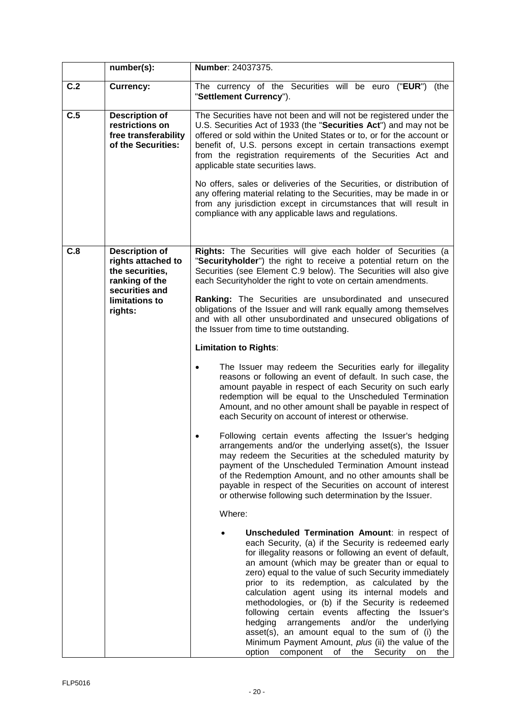|     | number(s):                                                                             | Number: 24037375.                                                                                                                                                                                                                                                                                                                                                                                                                                                                                                                                                                                                                                                                                           |  |  |
|-----|----------------------------------------------------------------------------------------|-------------------------------------------------------------------------------------------------------------------------------------------------------------------------------------------------------------------------------------------------------------------------------------------------------------------------------------------------------------------------------------------------------------------------------------------------------------------------------------------------------------------------------------------------------------------------------------------------------------------------------------------------------------------------------------------------------------|--|--|
| C.2 | <b>Currency:</b>                                                                       | The currency of the Securities will be euro<br>("EUR")<br>(the<br>"Settlement Currency").                                                                                                                                                                                                                                                                                                                                                                                                                                                                                                                                                                                                                   |  |  |
| C.5 | <b>Description of</b><br>restrictions on<br>free transferability<br>of the Securities: | The Securities have not been and will not be registered under the<br>U.S. Securities Act of 1933 (the "Securities Act") and may not be<br>offered or sold within the United States or to, or for the account or<br>benefit of, U.S. persons except in certain transactions exempt<br>from the registration requirements of the Securities Act and<br>applicable state securities laws.<br>No offers, sales or deliveries of the Securities, or distribution of<br>any offering material relating to the Securities, may be made in or                                                                                                                                                                       |  |  |
|     |                                                                                        | from any jurisdiction except in circumstances that will result in<br>compliance with any applicable laws and regulations.                                                                                                                                                                                                                                                                                                                                                                                                                                                                                                                                                                                   |  |  |
| C.8 | Description of<br>rights attached to<br>the securities,<br>ranking of the              | Rights: The Securities will give each holder of Securities (a<br>"Securityholder") the right to receive a potential return on the<br>Securities (see Element C.9 below). The Securities will also give<br>each Securityholder the right to vote on certain amendments.                                                                                                                                                                                                                                                                                                                                                                                                                                      |  |  |
|     | securities and<br>limitations to<br>rights:                                            | Ranking: The Securities are unsubordinated and unsecured<br>obligations of the Issuer and will rank equally among themselves<br>and with all other unsubordinated and unsecured obligations of<br>the Issuer from time to time outstanding.                                                                                                                                                                                                                                                                                                                                                                                                                                                                 |  |  |
|     |                                                                                        | <b>Limitation to Rights:</b>                                                                                                                                                                                                                                                                                                                                                                                                                                                                                                                                                                                                                                                                                |  |  |
|     |                                                                                        | The Issuer may redeem the Securities early for illegality<br>reasons or following an event of default. In such case, the<br>amount payable in respect of each Security on such early<br>redemption will be equal to the Unscheduled Termination<br>Amount, and no other amount shall be payable in respect of<br>each Security on account of interest or otherwise.                                                                                                                                                                                                                                                                                                                                         |  |  |
|     |                                                                                        | Following certain events affecting the Issuer's hedging<br>arrangements and/or the underlying asset(s), the Issuer<br>may redeem the Securities at the scheduled maturity by<br>payment of the Unscheduled Termination Amount instead<br>of the Redemption Amount, and no other amounts shall be<br>payable in respect of the Securities on account of interest<br>or otherwise following such determination by the Issuer.                                                                                                                                                                                                                                                                                 |  |  |
|     |                                                                                        | Where:                                                                                                                                                                                                                                                                                                                                                                                                                                                                                                                                                                                                                                                                                                      |  |  |
|     |                                                                                        | Unscheduled Termination Amount: in respect of<br>each Security, (a) if the Security is redeemed early<br>for illegality reasons or following an event of default,<br>an amount (which may be greater than or equal to<br>zero) equal to the value of such Security immediately<br>prior to its redemption, as calculated by the<br>calculation agent using its internal models and<br>methodologies, or (b) if the Security is redeemed<br>following<br>certain events affecting the Issuer's<br>hedging<br>and/or<br>arrangements<br>the<br>underlying<br>asset(s), an amount equal to the sum of (i) the<br>Minimum Payment Amount, plus (ii) the value of the<br>option component of the Security on the |  |  |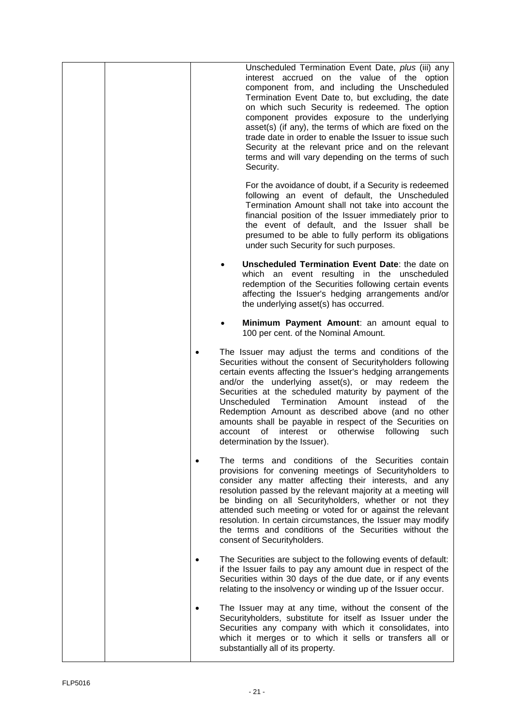| Unscheduled Termination Event Date, plus (iii) any                                                                                                                                                                                                                                                                                                                                                                                                                                                                                                                                                     |
|--------------------------------------------------------------------------------------------------------------------------------------------------------------------------------------------------------------------------------------------------------------------------------------------------------------------------------------------------------------------------------------------------------------------------------------------------------------------------------------------------------------------------------------------------------------------------------------------------------|
| interest accrued on the value of the option<br>component from, and including the Unscheduled<br>Termination Event Date to, but excluding, the date<br>on which such Security is redeemed. The option<br>component provides exposure to the underlying<br>asset(s) (if any), the terms of which are fixed on the<br>trade date in order to enable the Issuer to issue such<br>Security at the relevant price and on the relevant<br>terms and will vary depending on the terms of such<br>Security.                                                                                                     |
| For the avoidance of doubt, if a Security is redeemed<br>following an event of default, the Unscheduled<br>Termination Amount shall not take into account the<br>financial position of the Issuer immediately prior to<br>the event of default, and the Issuer shall be<br>presumed to be able to fully perform its obligations<br>under such Security for such purposes.                                                                                                                                                                                                                              |
| Unscheduled Termination Event Date: the date on<br>which an event resulting in the unscheduled<br>redemption of the Securities following certain events<br>affecting the Issuer's hedging arrangements and/or<br>the underlying asset(s) has occurred.                                                                                                                                                                                                                                                                                                                                                 |
| Minimum Payment Amount: an amount equal to<br>100 per cent. of the Nominal Amount.                                                                                                                                                                                                                                                                                                                                                                                                                                                                                                                     |
| The Issuer may adjust the terms and conditions of the<br>$\bullet$<br>Securities without the consent of Securityholders following<br>certain events affecting the Issuer's hedging arrangements<br>and/or the underlying asset(s), or may redeem the<br>Securities at the scheduled maturity by payment of the<br>Unscheduled<br>Termination<br>Amount<br>the<br>instead<br>οf<br>Redemption Amount as described above (and no other<br>amounts shall be payable in respect of the Securities on<br>otherwise<br>following<br>account<br>0f<br>interest<br>or<br>such<br>determination by the Issuer). |
| The terms and conditions of the Securities contain<br>provisions for convening meetings of Securityholders to<br>consider any matter affecting their interests, and any<br>resolution passed by the relevant majority at a meeting will<br>be binding on all Securityholders, whether or not they<br>attended such meeting or voted for or against the relevant<br>resolution. In certain circumstances, the Issuer may modify<br>the terms and conditions of the Securities without the<br>consent of Securityholders.                                                                                |
| The Securities are subject to the following events of default:<br>if the Issuer fails to pay any amount due in respect of the<br>Securities within 30 days of the due date, or if any events<br>relating to the insolvency or winding up of the Issuer occur.                                                                                                                                                                                                                                                                                                                                          |
| The Issuer may at any time, without the consent of the<br>Securityholders, substitute for itself as Issuer under the<br>Securities any company with which it consolidates, into<br>which it merges or to which it sells or transfers all or<br>substantially all of its property.                                                                                                                                                                                                                                                                                                                      |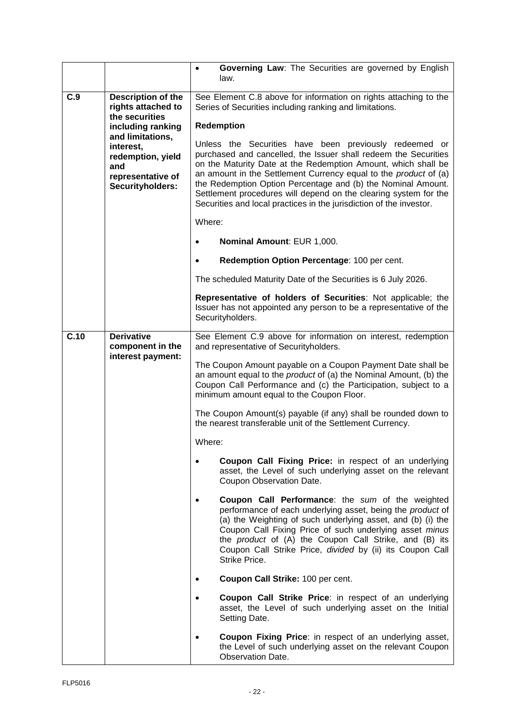|                                                                    |                                                                                                                                                                                       | Governing Law: The Securities are governed by English<br>$\bullet$<br>law.                                                                                                                                                                                                                                                                                                                                                                                                                                                                                                                                                                                                                                                                                                                                                                                                      |
|--------------------------------------------------------------------|---------------------------------------------------------------------------------------------------------------------------------------------------------------------------------------|---------------------------------------------------------------------------------------------------------------------------------------------------------------------------------------------------------------------------------------------------------------------------------------------------------------------------------------------------------------------------------------------------------------------------------------------------------------------------------------------------------------------------------------------------------------------------------------------------------------------------------------------------------------------------------------------------------------------------------------------------------------------------------------------------------------------------------------------------------------------------------|
| C.9                                                                | Description of the<br>rights attached to<br>the securities<br>including ranking<br>and limitations,<br>interest,<br>redemption, yield<br>and<br>representative of<br>Securityholders: | See Element C.8 above for information on rights attaching to the<br>Series of Securities including ranking and limitations.<br><b>Redemption</b><br>Unless the Securities have been previously redeemed or<br>purchased and cancelled, the Issuer shall redeem the Securities<br>on the Maturity Date at the Redemption Amount, which shall be<br>an amount in the Settlement Currency equal to the product of (a)<br>the Redemption Option Percentage and (b) the Nominal Amount.<br>Settlement procedures will depend on the clearing system for the<br>Securities and local practices in the jurisdiction of the investor.<br>Where:<br>Nominal Amount: EUR 1,000.<br>$\bullet$<br>Redemption Option Percentage: 100 per cent.<br>$\bullet$<br>The scheduled Maturity Date of the Securities is 6 July 2026.<br>Representative of holders of Securities: Not applicable; the |
|                                                                    |                                                                                                                                                                                       | Issuer has not appointed any person to be a representative of the<br>Securityholders.                                                                                                                                                                                                                                                                                                                                                                                                                                                                                                                                                                                                                                                                                                                                                                                           |
| C.10<br><b>Derivative</b><br>component in the<br>interest payment: |                                                                                                                                                                                       | See Element C.9 above for information on interest, redemption<br>and representative of Securityholders.<br>The Coupon Amount payable on a Coupon Payment Date shall be<br>an amount equal to the product of (a) the Nominal Amount, (b) the<br>Coupon Call Performance and (c) the Participation, subject to a<br>minimum amount equal to the Coupon Floor.<br>The Coupon Amount(s) payable (if any) shall be rounded down to<br>the nearest transferable unit of the Settlement Currency.<br>Where:                                                                                                                                                                                                                                                                                                                                                                            |
|                                                                    |                                                                                                                                                                                       | Coupon Call Fixing Price: in respect of an underlying<br>asset, the Level of such underlying asset on the relevant<br>Coupon Observation Date.<br>Coupon Call Performance: the sum of the weighted<br>performance of each underlying asset, being the product of<br>(a) the Weighting of such underlying asset, and (b) (i) the<br>Coupon Call Fixing Price of such underlying asset minus<br>the <i>product</i> of (A) the Coupon Call Strike, and (B) its<br>Coupon Call Strike Price, divided by (ii) its Coupon Call<br>Strike Price.<br>Coupon Call Strike: 100 per cent.<br>Coupon Call Strike Price: in respect of an underlying<br>asset, the Level of such underlying asset on the Initial<br>Setting Date.<br>Coupon Fixing Price: in respect of an underlying asset,<br>the Level of such underlying asset on the relevant Coupon<br><b>Observation Date.</b>        |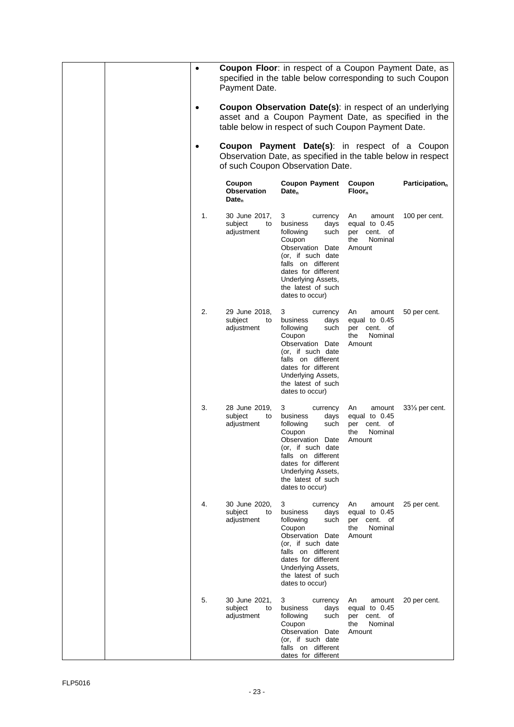|  | $\bullet$ | Payment Date.                                     | <b>Coupon Floor:</b> in respect of a Coupon Payment Date, as<br>specified in the table below corresponding to such Coupon                                                                                                    |                                                                             |                             |
|--|-----------|---------------------------------------------------|------------------------------------------------------------------------------------------------------------------------------------------------------------------------------------------------------------------------------|-----------------------------------------------------------------------------|-----------------------------|
|  |           |                                                   | Coupon Observation Date(s): in respect of an underlying<br>asset and a Coupon Payment Date, as specified in the<br>table below in respect of such Coupon Payment Date.                                                       |                                                                             |                             |
|  | $\bullet$ |                                                   | <b>Coupon Payment Date(s):</b> in respect of a Coupon<br>Observation Date, as specified in the table below in respect<br>of such Coupon Observation Date.                                                                    |                                                                             |                             |
|  |           | Coupon<br><b>Observation</b><br>Date <sub>n</sub> | <b>Coupon Payment</b><br>Date <sub>n</sub>                                                                                                                                                                                   | Coupon<br>$Floor_n$                                                         | Participation $_{n}$        |
|  | 1.        | 30 June 2017,<br>subject<br>to<br>adjustment      | currency<br>3<br>business<br>days<br>following<br>such<br>Coupon<br>Observation Date<br>(or, if such date<br>falls on different<br>dates for different<br>Underlying Assets,<br>the latest of such<br>dates to occur)        | An<br>amount<br>equal to $0.45$<br>per cent. of<br>Nominal<br>the<br>Amount | 100 per cent.               |
|  | 2.        | 29 June 2018,<br>subject<br>to<br>adjustment      | 3<br>currency<br>business<br>days<br>following<br>such<br>Coupon<br>Observation Date<br>(or, if such date<br>falls on different<br>dates for different<br>Underlying Assets,<br>the latest of such<br>dates to occur)        | An<br>amount<br>equal to $0.45$<br>per cent. of<br>Nominal<br>the<br>Amount | 50 per cent.                |
|  | 3.        | 28 June 2019,<br>subject<br>to<br>adjustment      | 3<br>currency<br>business<br>days<br>following<br>such<br>Coupon<br>Observation Date<br>(or, if such date<br>falls on different<br>dates for different<br>Underlying Assets,<br>the latest of such<br>dates to occur)        | An<br>amount<br>equal to 0.45<br>per cent. of<br>Nominal<br>the<br>Amount   | 331/ <sub>3</sub> per cent. |
|  | 4.        | 30 June 2020,<br>subject<br>to<br>adjustment      | 3<br>currency<br>business<br>days<br>following<br>such<br>Coupon<br>Observation Date<br>(or, if such date<br>falls on different<br>dates for different<br><b>Underlying Assets,</b><br>the latest of such<br>dates to occur) | An<br>amount<br>equal to 0.45<br>per cent. of<br>the<br>Nominal<br>Amount   | 25 per cent.                |
|  | 5.        | 30 June 2021,<br>subject<br>to<br>adjustment      | 3<br>currency<br>business<br>days<br>following<br>such<br>Coupon<br>Observation Date<br>(or, if such date<br>falls on different<br>dates for different                                                                       | An<br>amount<br>equal to 0.45<br>per cent. of<br>Nominal<br>the<br>Amount   | 20 per cent.                |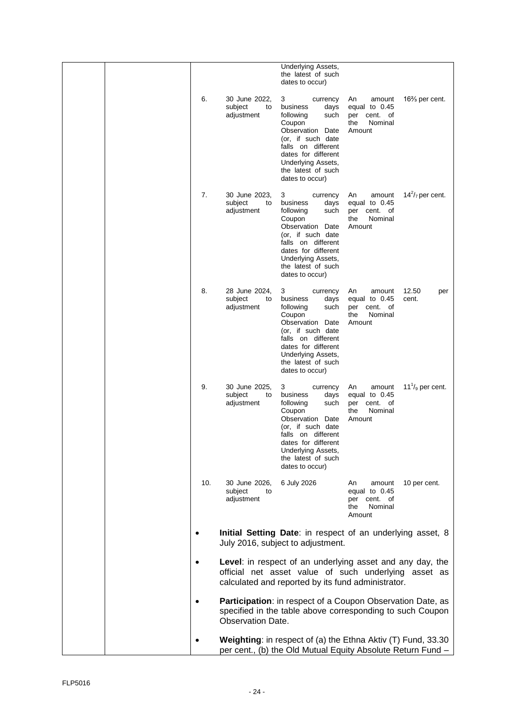|     |                                              | Underlying Assets,<br>the latest of such<br>dates to occur)                                                                                                                                                              |                                                                              |                        |
|-----|----------------------------------------------|--------------------------------------------------------------------------------------------------------------------------------------------------------------------------------------------------------------------------|------------------------------------------------------------------------------|------------------------|
| 6.  | 30 June 2022,<br>subject<br>to<br>adjustment | 3<br>currency<br>business<br>days<br>following<br>such<br>Coupon<br>Observation<br>Date<br>(or, if such date<br>falls on different<br>dates for different<br>Underlying Assets,<br>the latest of such<br>dates to occur) | An<br>amount<br>equal to 0.45<br>per cent. of<br>the<br>Nominal<br>Amount    | $16\%$ per cent.       |
| 7.  | 30 June 2023,<br>subject<br>to<br>adjustment | 3<br>currency<br>business<br>days<br>following<br>such<br>Coupon<br>Observation Date<br>(or, if such date<br>falls on different<br>dates for different<br>Underlying Assets,<br>the latest of such<br>dates to occur)    | An<br>amount<br>equal to 0.45<br>cent. of<br>per<br>the<br>Nominal<br>Amount | $14^2$ / $7$ per cent. |
| 8.  | 28 June 2024,<br>subject<br>to<br>adjustment | 3<br>currency<br>business<br>days<br>following<br>such<br>Coupon<br>Observation<br>Date<br>(or, if such date<br>falls on different<br>dates for different<br>Underlying Assets,<br>the latest of such<br>dates to occur) | An<br>amount<br>equal to 0.45<br>cent. of<br>per<br>the<br>Nominal<br>Amount | 12.50<br>per<br>cent.  |
| 9.  | 30 June 2025,<br>subject<br>to<br>adjustment | 3<br>currency<br>business<br>days<br>following<br>such<br>Coupon<br>Observation Date<br>(or, if such date<br>falls on different<br>dates for different<br>Underlying Assets,<br>the latest of such<br>dates to occur)    | amount<br>An<br>equal to 0.45<br>cent. of<br>per<br>the<br>Nominal<br>Amount | $111/9$ per cent.      |
| 10. | 30 June 2026,<br>subject<br>to<br>adjustment | 6 July 2026                                                                                                                                                                                                              | An<br>amount<br>equal to $0.45$<br>per cent. of<br>Nominal<br>the<br>Amount  | 10 per cent.           |
|     |                                              | Initial Setting Date: in respect of an underlying asset, 8<br>July 2016, subject to adjustment.                                                                                                                          |                                                                              |                        |
|     |                                              | Level: in respect of an underlying asset and any day, the<br>official net asset value of such underlying asset as<br>calculated and reported by its fund administrator.                                                  |                                                                              |                        |
|     | <b>Observation Date.</b>                     | Participation: in respect of a Coupon Observation Date, as<br>specified in the table above corresponding to such Coupon                                                                                                  |                                                                              |                        |
|     |                                              | Weighting: in respect of (a) the Ethna Aktiv (T) Fund, 33.30<br>per cent., (b) the Old Mutual Equity Absolute Return Fund -                                                                                              |                                                                              |                        |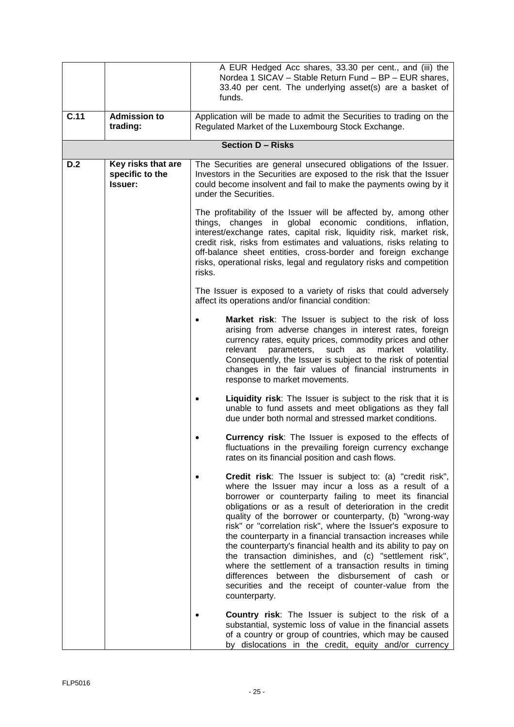|      |                                                  | A EUR Hedged Acc shares, 33.30 per cent., and (iii) the<br>Nordea 1 SICAV - Stable Return Fund - BP - EUR shares,<br>33.40 per cent. The underlying asset(s) are a basket of<br>funds.                                                                                                                                                                                                                                                                                                                                                                                                                                                                                                                                                                   |  |
|------|--------------------------------------------------|----------------------------------------------------------------------------------------------------------------------------------------------------------------------------------------------------------------------------------------------------------------------------------------------------------------------------------------------------------------------------------------------------------------------------------------------------------------------------------------------------------------------------------------------------------------------------------------------------------------------------------------------------------------------------------------------------------------------------------------------------------|--|
| C.11 | <b>Admission to</b><br>trading:                  | Application will be made to admit the Securities to trading on the<br>Regulated Market of the Luxembourg Stock Exchange.                                                                                                                                                                                                                                                                                                                                                                                                                                                                                                                                                                                                                                 |  |
|      |                                                  | <b>Section D - Risks</b>                                                                                                                                                                                                                                                                                                                                                                                                                                                                                                                                                                                                                                                                                                                                 |  |
| D.2  | Key risks that are<br>specific to the<br>Issuer: | The Securities are general unsecured obligations of the Issuer.<br>Investors in the Securities are exposed to the risk that the Issuer<br>could become insolvent and fail to make the payments owing by it<br>under the Securities.<br>The profitability of the Issuer will be affected by, among other<br>in global economic conditions,<br>things, changes<br>inflation,<br>interest/exchange rates, capital risk, liquidity risk, market risk,<br>credit risk, risks from estimates and valuations, risks relating to<br>off-balance sheet entities, cross-border and foreign exchange<br>risks, operational risks, legal and regulatory risks and competition<br>risks.                                                                              |  |
|      |                                                  |                                                                                                                                                                                                                                                                                                                                                                                                                                                                                                                                                                                                                                                                                                                                                          |  |
|      |                                                  | The Issuer is exposed to a variety of risks that could adversely<br>affect its operations and/or financial condition:                                                                                                                                                                                                                                                                                                                                                                                                                                                                                                                                                                                                                                    |  |
|      |                                                  | Market risk: The Issuer is subject to the risk of loss<br>arising from adverse changes in interest rates, foreign<br>currency rates, equity prices, commodity prices and other<br>relevant<br>parameters,<br>such<br>market<br>as<br>volatility.<br>Consequently, the Issuer is subject to the risk of potential<br>changes in the fair values of financial instruments in<br>response to market movements.                                                                                                                                                                                                                                                                                                                                              |  |
|      |                                                  | Liquidity risk: The Issuer is subject to the risk that it is<br>unable to fund assets and meet obligations as they fall<br>due under both normal and stressed market conditions.                                                                                                                                                                                                                                                                                                                                                                                                                                                                                                                                                                         |  |
|      |                                                  | <b>Currency risk:</b> The Issuer is exposed to the effects of<br>fluctuations in the prevailing foreign currency exchange<br>rates on its financial position and cash flows.                                                                                                                                                                                                                                                                                                                                                                                                                                                                                                                                                                             |  |
|      |                                                  | <b>Credit risk:</b> The Issuer is subject to: (a) "credit risk",<br>where the Issuer may incur a loss as a result of a<br>borrower or counterparty failing to meet its financial<br>obligations or as a result of deterioration in the credit<br>quality of the borrower or counterparty, (b) "wrong-way<br>risk" or "correlation risk", where the Issuer's exposure to<br>the counterparty in a financial transaction increases while<br>the counterparty's financial health and its ability to pay on<br>the transaction diminishes, and (c) "settlement risk",<br>where the settlement of a transaction results in timing<br>differences between the disbursement of cash or<br>securities and the receipt of counter-value from the<br>counterparty. |  |
|      |                                                  | <b>Country risk:</b> The Issuer is subject to the risk of a<br>substantial, systemic loss of value in the financial assets<br>of a country or group of countries, which may be caused<br>by dislocations in the credit, equity and/or currency                                                                                                                                                                                                                                                                                                                                                                                                                                                                                                           |  |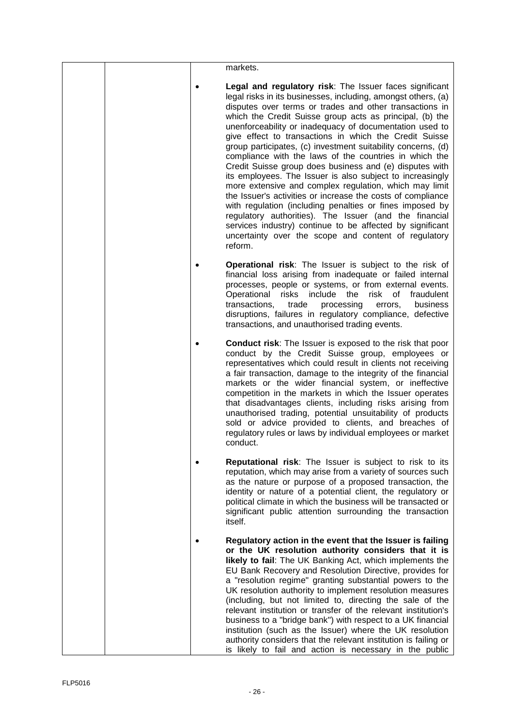|  | markets.                                                                                                                                                                                                                                                                                                                                                                                                                                                                                                                                                                                                                                                                                                                                                                                                                                                                                                                                                                                              |
|--|-------------------------------------------------------------------------------------------------------------------------------------------------------------------------------------------------------------------------------------------------------------------------------------------------------------------------------------------------------------------------------------------------------------------------------------------------------------------------------------------------------------------------------------------------------------------------------------------------------------------------------------------------------------------------------------------------------------------------------------------------------------------------------------------------------------------------------------------------------------------------------------------------------------------------------------------------------------------------------------------------------|
|  | Legal and regulatory risk: The Issuer faces significant<br>legal risks in its businesses, including, amongst others, (a)<br>disputes over terms or trades and other transactions in<br>which the Credit Suisse group acts as principal, (b) the<br>unenforceability or inadequacy of documentation used to<br>give effect to transactions in which the Credit Suisse<br>group participates, (c) investment suitability concerns, (d)<br>compliance with the laws of the countries in which the<br>Credit Suisse group does business and (e) disputes with<br>its employees. The Issuer is also subject to increasingly<br>more extensive and complex regulation, which may limit<br>the Issuer's activities or increase the costs of compliance<br>with regulation (including penalties or fines imposed by<br>regulatory authorities). The Issuer (and the financial<br>services industry) continue to be affected by significant<br>uncertainty over the scope and content of regulatory<br>reform. |
|  | Operational risk: The Issuer is subject to the risk of<br>financial loss arising from inadequate or failed internal<br>processes, people or systems, or from external events.<br>Operational<br>risks<br>include<br>the<br>risk<br>0f<br>fraudulent<br>transactions,<br>trade<br>processing<br>business<br>errors,<br>disruptions, failures in regulatory compliance, defective<br>transactions, and unauthorised trading events.                                                                                                                                                                                                                                                                                                                                                                                                                                                                                                                                                                     |
|  | <b>Conduct risk:</b> The Issuer is exposed to the risk that poor<br>conduct by the Credit Suisse group, employees or<br>representatives which could result in clients not receiving<br>a fair transaction, damage to the integrity of the financial<br>markets or the wider financial system, or ineffective<br>competition in the markets in which the Issuer operates<br>that disadvantages clients, including risks arising from<br>unauthorised trading, potential unsuitability of products<br>sold or advice provided to clients, and breaches of<br>regulatory rules or laws by individual employees or market<br>conduct.                                                                                                                                                                                                                                                                                                                                                                     |
|  | <b>Reputational risk:</b> The Issuer is subject to risk to its<br>reputation, which may arise from a variety of sources such<br>as the nature or purpose of a proposed transaction, the<br>identity or nature of a potential client, the regulatory or<br>political climate in which the business will be transacted or<br>significant public attention surrounding the transaction<br>itself.                                                                                                                                                                                                                                                                                                                                                                                                                                                                                                                                                                                                        |
|  | Regulatory action in the event that the Issuer is failing<br>or the UK resolution authority considers that it is<br>likely to fail: The UK Banking Act, which implements the<br>EU Bank Recovery and Resolution Directive, provides for<br>a "resolution regime" granting substantial powers to the<br>UK resolution authority to implement resolution measures<br>(including, but not limited to, directing the sale of the<br>relevant institution or transfer of the relevant institution's<br>business to a "bridge bank") with respect to a UK financial<br>institution (such as the Issuer) where the UK resolution<br>authority considers that the relevant institution is failing or<br>is likely to fail and action is necessary in the public                                                                                                                                                                                                                                               |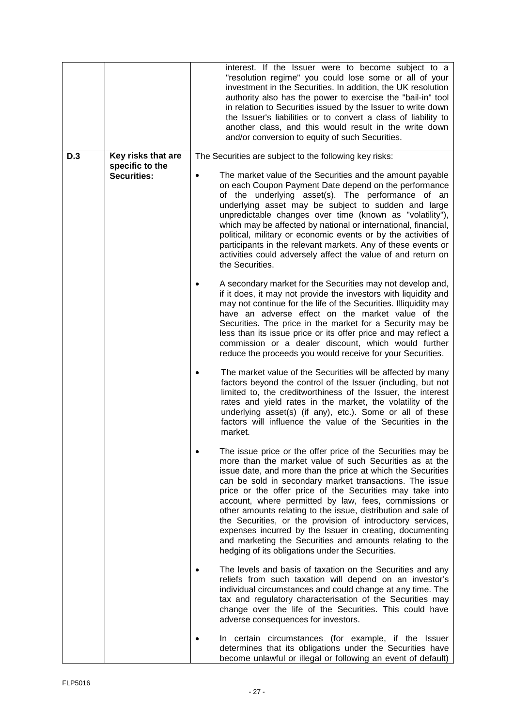|     |                                       | interest. If the Issuer were to become subject to a<br>"resolution regime" you could lose some or all of your<br>investment in the Securities. In addition, the UK resolution<br>authority also has the power to exercise the "bail-in" tool<br>in relation to Securities issued by the Issuer to write down<br>the Issuer's liabilities or to convert a class of liability to<br>another class, and this would result in the write down<br>and/or conversion to equity of such Securities.                                                                                                                                                                                      |
|-----|---------------------------------------|----------------------------------------------------------------------------------------------------------------------------------------------------------------------------------------------------------------------------------------------------------------------------------------------------------------------------------------------------------------------------------------------------------------------------------------------------------------------------------------------------------------------------------------------------------------------------------------------------------------------------------------------------------------------------------|
| D.3 | Key risks that are<br>specific to the | The Securities are subject to the following key risks:                                                                                                                                                                                                                                                                                                                                                                                                                                                                                                                                                                                                                           |
|     | <b>Securities:</b>                    | The market value of the Securities and the amount payable<br>$\bullet$<br>on each Coupon Payment Date depend on the performance<br>of the underlying asset(s). The performance of an<br>underlying asset may be subject to sudden and large<br>unpredictable changes over time (known as "volatility"),<br>which may be affected by national or international, financial,<br>political, military or economic events or by the activities of<br>participants in the relevant markets. Any of these events or<br>activities could adversely affect the value of and return on<br>the Securities.                                                                                   |
|     |                                       | A secondary market for the Securities may not develop and,<br>if it does, it may not provide the investors with liquidity and<br>may not continue for the life of the Securities. Illiquidity may<br>have an adverse effect on the market value of the<br>Securities. The price in the market for a Security may be<br>less than its issue price or its offer price and may reflect a<br>commission or a dealer discount, which would further<br>reduce the proceeds you would receive for your Securities.                                                                                                                                                                      |
|     |                                       | The market value of the Securities will be affected by many<br>factors beyond the control of the Issuer (including, but not<br>limited to, the creditworthiness of the Issuer, the interest<br>rates and yield rates in the market, the volatility of the<br>underlying asset(s) (if any), etc.). Some or all of these<br>factors will influence the value of the Securities in the<br>market.                                                                                                                                                                                                                                                                                   |
|     |                                       | The issue price or the offer price of the Securities may be<br>more than the market value of such Securities as at the<br>issue date, and more than the price at which the Securities<br>can be sold in secondary market transactions. The issue<br>price or the offer price of the Securities may take into<br>account, where permitted by law, fees, commissions or<br>other amounts relating to the issue, distribution and sale of<br>the Securities, or the provision of introductory services,<br>expenses incurred by the Issuer in creating, documenting<br>and marketing the Securities and amounts relating to the<br>hedging of its obligations under the Securities. |
|     |                                       | The levels and basis of taxation on the Securities and any<br>reliefs from such taxation will depend on an investor's<br>individual circumstances and could change at any time. The<br>tax and regulatory characterisation of the Securities may<br>change over the life of the Securities. This could have<br>adverse consequences for investors.                                                                                                                                                                                                                                                                                                                               |
|     |                                       | In certain circumstances (for example, if the Issuer<br>determines that its obligations under the Securities have<br>become unlawful or illegal or following an event of default)                                                                                                                                                                                                                                                                                                                                                                                                                                                                                                |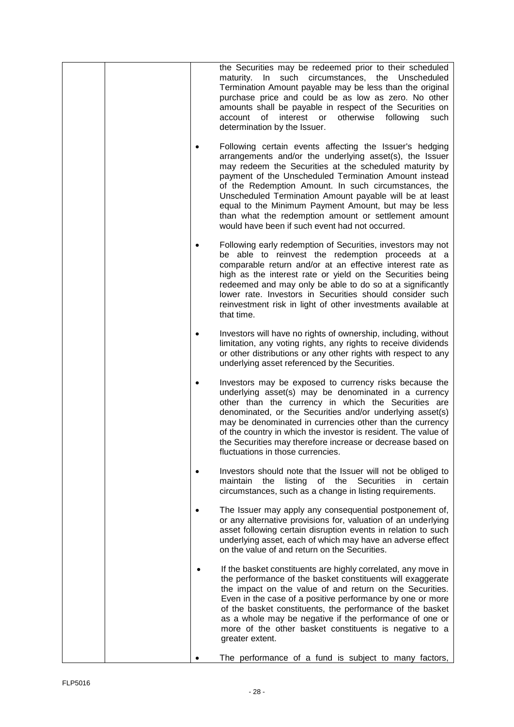| the Securities may be redeemed prior to their scheduled<br>maturity. In such circumstances, the Unscheduled<br>Termination Amount payable may be less than the original<br>purchase price and could be as low as zero. No other<br>amounts shall be payable in respect of the Securities on<br>of interest or<br>otherwise<br>account<br>following<br>such<br>determination by the Issuer.                                                                                                                                  |
|-----------------------------------------------------------------------------------------------------------------------------------------------------------------------------------------------------------------------------------------------------------------------------------------------------------------------------------------------------------------------------------------------------------------------------------------------------------------------------------------------------------------------------|
| Following certain events affecting the Issuer's hedging<br>arrangements and/or the underlying asset(s), the Issuer<br>may redeem the Securities at the scheduled maturity by<br>payment of the Unscheduled Termination Amount instead<br>of the Redemption Amount. In such circumstances, the<br>Unscheduled Termination Amount payable will be at least<br>equal to the Minimum Payment Amount, but may be less<br>than what the redemption amount or settlement amount<br>would have been if such event had not occurred. |
| Following early redemption of Securities, investors may not<br>be able to reinvest the redemption proceeds at a<br>comparable return and/or at an effective interest rate as<br>high as the interest rate or yield on the Securities being<br>redeemed and may only be able to do so at a significantly<br>lower rate. Investors in Securities should consider such<br>reinvestment risk in light of other investments available at<br>that time.                                                                           |
| Investors will have no rights of ownership, including, without<br>٠<br>limitation, any voting rights, any rights to receive dividends<br>or other distributions or any other rights with respect to any<br>underlying asset referenced by the Securities.                                                                                                                                                                                                                                                                   |
| Investors may be exposed to currency risks because the<br>underlying asset(s) may be denominated in a currency<br>other than the currency in which the Securities are<br>denominated, or the Securities and/or underlying asset(s)<br>may be denominated in currencies other than the currency<br>of the country in which the investor is resident. The value of<br>the Securities may therefore increase or decrease based on<br>fluctuations in those currencies.                                                         |
| Investors should note that the Issuer will not be obliged to<br>٠<br><b>Securities</b><br>maintain<br>listing<br>of the<br>certain<br>the<br>in.<br>circumstances, such as a change in listing requirements.                                                                                                                                                                                                                                                                                                                |
| The Issuer may apply any consequential postponement of,<br>٠<br>or any alternative provisions for, valuation of an underlying<br>asset following certain disruption events in relation to such<br>underlying asset, each of which may have an adverse effect<br>on the value of and return on the Securities.                                                                                                                                                                                                               |
| If the basket constituents are highly correlated, any move in<br>the performance of the basket constituents will exaggerate<br>the impact on the value of and return on the Securities.<br>Even in the case of a positive performance by one or more<br>of the basket constituents, the performance of the basket<br>as a whole may be negative if the performance of one or<br>more of the other basket constituents is negative to a<br>greater extent.                                                                   |
| The performance of a fund is subject to many factors,                                                                                                                                                                                                                                                                                                                                                                                                                                                                       |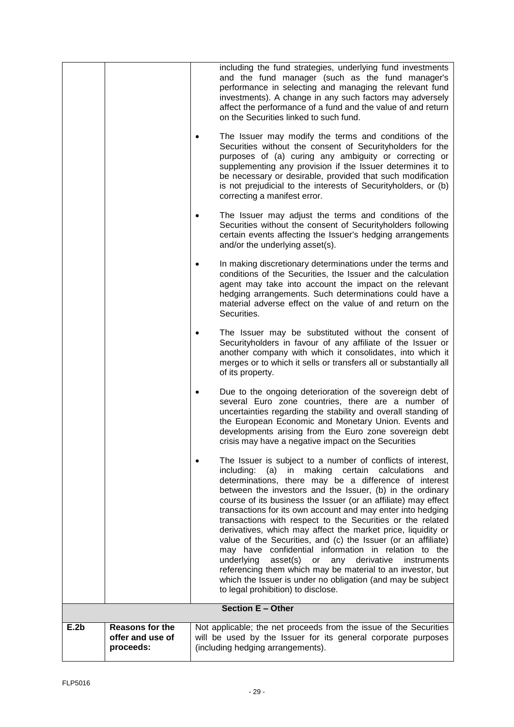|                          |                                                  |  | including the fund strategies, underlying fund investments<br>and the fund manager (such as the fund manager's<br>performance in selecting and managing the relevant fund<br>investments). A change in any such factors may adversely<br>affect the performance of a fund and the value of and return<br>on the Securities linked to such fund.<br>The Issuer may modify the terms and conditions of the<br>Securities without the consent of Securityholders for the<br>purposes of (a) curing any ambiguity or correcting or<br>supplementing any provision if the Issuer determines it to<br>be necessary or desirable, provided that such modification<br>is not prejudicial to the interests of Securityholders, or (b)<br>correcting a manifest error.<br>The Issuer may adjust the terms and conditions of the<br>Securities without the consent of Securityholders following<br>certain events affecting the Issuer's hedging arrangements<br>and/or the underlying asset(s).<br>In making discretionary determinations under the terms and<br>conditions of the Securities, the Issuer and the calculation<br>agent may take into account the impact on the relevant<br>hedging arrangements. Such determinations could have a<br>material adverse effect on the value of and return on the<br>Securities.<br>The Issuer may be substituted without the consent of<br>Securityholders in favour of any affiliate of the Issuer or<br>another company with which it consolidates, into which it<br>merges or to which it sells or transfers all or substantially all<br>of its property. |  |
|--------------------------|--------------------------------------------------|--|--------------------------------------------------------------------------------------------------------------------------------------------------------------------------------------------------------------------------------------------------------------------------------------------------------------------------------------------------------------------------------------------------------------------------------------------------------------------------------------------------------------------------------------------------------------------------------------------------------------------------------------------------------------------------------------------------------------------------------------------------------------------------------------------------------------------------------------------------------------------------------------------------------------------------------------------------------------------------------------------------------------------------------------------------------------------------------------------------------------------------------------------------------------------------------------------------------------------------------------------------------------------------------------------------------------------------------------------------------------------------------------------------------------------------------------------------------------------------------------------------------------------------------------------------------------------------------------------------|--|
|                          |                                                  |  | Due to the ongoing deterioration of the sovereign debt of<br>several Euro zone countries, there are a number of<br>uncertainties regarding the stability and overall standing of<br>the European Economic and Monetary Union. Events and<br>developments arising from the Euro zone sovereign debt<br>crisis may have a negative impact on the Securities                                                                                                                                                                                                                                                                                                                                                                                                                                                                                                                                                                                                                                                                                                                                                                                                                                                                                                                                                                                                                                                                                                                                                                                                                                        |  |
|                          |                                                  |  | The Issuer is subject to a number of conflicts of interest,<br>including:<br>(a)<br>making<br>certain<br>calculations<br>in<br>and<br>determinations, there may be a difference of interest<br>between the investors and the Issuer, (b) in the ordinary<br>course of its business the Issuer (or an affiliate) may effect<br>transactions for its own account and may enter into hedging<br>transactions with respect to the Securities or the related<br>derivatives, which may affect the market price, liquidity or<br>value of the Securities, and (c) the Issuer (or an affiliate)<br>may have confidential information in relation to the<br>derivative<br>underlying<br>asset(s) or<br>any<br>instruments<br>referencing them which may be material to an investor, but<br>which the Issuer is under no obligation (and may be subject<br>to legal prohibition) to disclose.                                                                                                                                                                                                                                                                                                                                                                                                                                                                                                                                                                                                                                                                                                             |  |
| <b>Section E - Other</b> |                                                  |  |                                                                                                                                                                                                                                                                                                                                                                                                                                                                                                                                                                                                                                                                                                                                                                                                                                                                                                                                                                                                                                                                                                                                                                                                                                                                                                                                                                                                                                                                                                                                                                                                  |  |
| E.2b                     | Reasons for the<br>offer and use of<br>proceeds: |  | Not applicable; the net proceeds from the issue of the Securities<br>will be used by the Issuer for its general corporate purposes<br>(including hedging arrangements).                                                                                                                                                                                                                                                                                                                                                                                                                                                                                                                                                                                                                                                                                                                                                                                                                                                                                                                                                                                                                                                                                                                                                                                                                                                                                                                                                                                                                          |  |